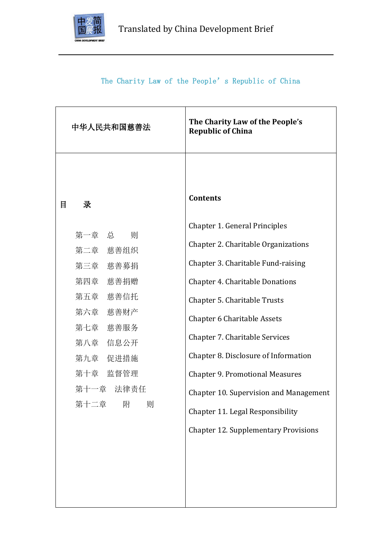

# The Charity Law of the People's Republic of China

| 中华人民共和国慈善法                                                                                                                                                        | The Charity Law of the People's<br><b>Republic of China</b>                                                                                                                                                                                                                                                                                                                                                                                                                        |
|-------------------------------------------------------------------------------------------------------------------------------------------------------------------|------------------------------------------------------------------------------------------------------------------------------------------------------------------------------------------------------------------------------------------------------------------------------------------------------------------------------------------------------------------------------------------------------------------------------------------------------------------------------------|
| 目<br>录                                                                                                                                                            | <b>Contents</b>                                                                                                                                                                                                                                                                                                                                                                                                                                                                    |
| 第一章 总<br>则<br>第二章 慈善组织<br>第三章 慈善募捐<br>第四章<br>慈善捐赠<br>第五章<br>慈善信托<br>第六章<br>慈善财产<br>第七章<br>慈善服务<br>第八章 信息公开<br>第九章 促进措施<br>第十章 监督管理<br>第十一章 法律责任<br>附<br>则<br>第十二章 | Chapter 1. General Principles<br>Chapter 2. Charitable Organizations<br>Chapter 3. Charitable Fund-raising<br><b>Chapter 4. Charitable Donations</b><br><b>Chapter 5. Charitable Trusts</b><br><b>Chapter 6 Charitable Assets</b><br>Chapter 7. Charitable Services<br>Chapter 8. Disclosure of Information<br><b>Chapter 9. Promotional Measures</b><br>Chapter 10. Supervision and Management<br>Chapter 11. Legal Responsibility<br><b>Chapter 12. Supplementary Provisions</b> |
|                                                                                                                                                                   |                                                                                                                                                                                                                                                                                                                                                                                                                                                                                    |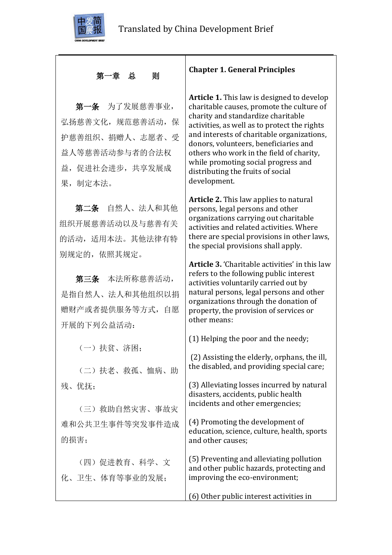

## 第一章 总 则

第一条 为了发展慈善事业, 弘扬慈善文化,规范慈善活动,保 护慈善组织、捐赠人、志愿者、受 益人等慈善活动参与者的合法权 益,促进社会进步,共享发展成 果,制定本法。

第二条 自然人、法人和其他 组织开展慈善活动以及与慈善有关 的活动,适用本法。其他法律有特 别规定的,依照其规定。

第三条 本法所称慈善活动, 是指自然人、法人和其他组织以捐 赠财产或者提供服务等方式,自愿 开展的下列公益活动:

(一)扶贫、济困;

(二)扶老、救孤、恤病、助 残、优抚;

(三)救助自然灾害、事故灾 难和公共卫生事件等突发事件造成 的损害;

(四)促进教育、科学、文 化、卫生、体育等事业的发展;

### **Chapter 1. General Principles**

**Article 1.** This law is designed to develop charitable causes, promote the culture of charity and standardize charitable activities, as well as to protect the rights and interests of charitable organizations, donors, volunteers, beneficiaries and others who work in the field of charity, while promoting social progress and distributing the fruits of social development.

**Article 2.** This law applies to natural persons, legal persons and other organizations carrying out charitable activities and related activities. Where there are special provisions in other laws, the special provisions shall apply.

**Article 3.** 'Charitable activities' in this law refers to the following public interest activities voluntarily carried out by natural persons, legal persons and other organizations through the donation of property, the provision of services or other means:

(1) Helping the poor and the needy;

(2) Assisting the elderly, orphans, the ill, the disabled, and providing special care;

(3) Alleviating losses incurred by natural disasters, accidents, public health incidents and other emergencies;

(4) Promoting the development of education, science, culture, health, sports and other causes;

(5) Preventing and alleviating pollution and other public hazards, protecting and improving the eco-environment;

(6) Other public interest activities in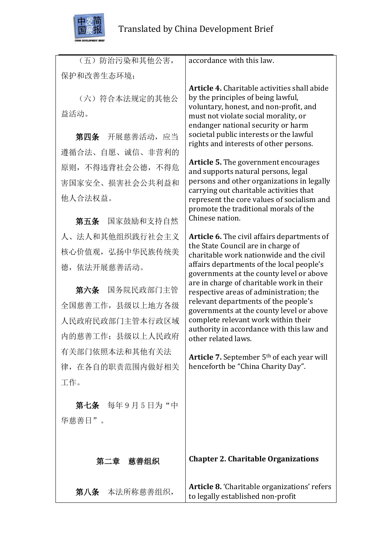

| (五)防治污染和其他公害,          | accordance with this law.                                                                                                                                                                                         |
|------------------------|-------------------------------------------------------------------------------------------------------------------------------------------------------------------------------------------------------------------|
| 保护和改善生态环境;             |                                                                                                                                                                                                                   |
| (六) 符合本法规定的其他公<br>益活动。 | <b>Article 4.</b> Charitable activities shall abide<br>by the principles of being lawful,<br>voluntary, honest, and non-profit, and<br>must not violate social morality, or<br>endanger national security or harm |
| 第四条 开展慈善活动,应当          | societal public interests or the lawful<br>rights and interests of other persons.                                                                                                                                 |
| 遵循合法、自愿、诚信、非营利的        |                                                                                                                                                                                                                   |
| 原则, 不得违背社会公德, 不得危      | <b>Article 5.</b> The government encourages<br>and supports natural persons, legal                                                                                                                                |
| 害国家安全、损害社会公共利益和        | persons and other organizations in legally                                                                                                                                                                        |
| 他人合法权益。                | carrying out charitable activities that<br>represent the core values of socialism and<br>promote the traditional morals of the                                                                                    |
| 第五条 国家鼓励和支持自然          | Chinese nation.                                                                                                                                                                                                   |
| 人、法人和其他组织践行社会主义        | Article 6. The civil affairs departments of                                                                                                                                                                       |
| 核心价值观, 弘扬中华民族传统美       | the State Council are in charge of<br>charitable work nationwide and the civil                                                                                                                                    |
| 德, 依法开展慈善活动。           | affairs departments of the local people's<br>governments at the county level or above                                                                                                                             |
| 第六条 国务院民政部门主管          | are in charge of charitable work in their<br>respective areas of administration; the                                                                                                                              |
| 全国慈善工作, 县级以上地方各级       | relevant departments of the people's<br>governments at the county level or above                                                                                                                                  |
| 人民政府民政部门主管本行政区域        | complete relevant work within their                                                                                                                                                                               |
| 内的慈善工作; 县级以上人民政府       | authority in accordance with this law and<br>other related laws.                                                                                                                                                  |
| 有关部门依照本法和其他有关法         | <b>Article 7.</b> September $5th$ of each year will                                                                                                                                                               |
| 律, 在各自的职责范围内做好相关       | henceforth be "China Charity Day".                                                                                                                                                                                |
| 工作。                    |                                                                                                                                                                                                                   |
| 第七条 每年9月5日为"中          |                                                                                                                                                                                                                   |
| 华慈善日"。                 |                                                                                                                                                                                                                   |
|                        |                                                                                                                                                                                                                   |
| 第二章 慈善组织               | <b>Chapter 2. Charitable Organizations</b>                                                                                                                                                                        |
| 本法所称慈善组织,<br>第八条       | <b>Article 8. 'Charitable organizations' refers</b><br>to legally established non-profit                                                                                                                          |

to legally established non-profit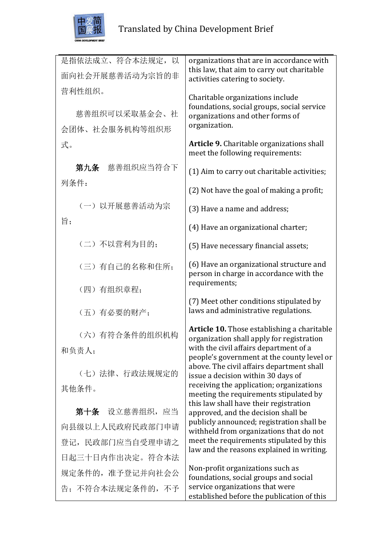

| 是指依法成立、符合本法规定, 以  | organizations that are in accordance with<br>this law, that aim to carry out charitable         |
|-------------------|-------------------------------------------------------------------------------------------------|
| 面向社会开展慈善活动为宗旨的非   | activities catering to society.                                                                 |
| 营利性组织。            | Charitable organizations include                                                                |
| 慈善组织可以采取基金会、社     | foundations, social groups, social service<br>organizations and other forms of                  |
| 会团体、社会服务机构等组织形    | organization.                                                                                   |
| 式。                | Article 9. Charitable organizations shall<br>meet the following requirements:                   |
| 第九条 慈善组织应当符合下     | (1) Aim to carry out charitable activities;                                                     |
| 列条件:              | (2) Not have the goal of making a profit;                                                       |
| (一) 以开展慈善活动为宗     | (3) Have a name and address;                                                                    |
| 旨;                | (4) Have an organizational charter;                                                             |
| (二)不以营利为目的:       | (5) Have necessary financial assets;                                                            |
| (三)有自己的名称和住所;     | (6) Have an organizational structure and<br>person in charge in accordance with the             |
| (四)有组织章程;         | requirements;                                                                                   |
| (五)有必要的财产;        | (7) Meet other conditions stipulated by<br>laws and administrative regulations.                 |
| (六)有符合条件的组织机构     | <b>Article 10.</b> Those establishing a charitable<br>organization shall apply for registration |
| 和负责人;             | with the civil affairs department of a                                                          |
| (七)法律、行政法规规定的     | people's government at the county level or<br>above. The civil affairs department shall         |
| 其他条件。             | issue a decision within 30 days of<br>receiving the application; organizations                  |
|                   | meeting the requirements stipulated by<br>this law shall have their registration                |
| 第十条 设立慈善组织, 应当    | approved, and the decision shall be                                                             |
| 向县级以上人民政府民政部门申请   | publicly announced; registration shall be<br>withheld from organizations that do not            |
| 登记,民政部门应当自受理申请之   | meet the requirements stipulated by this<br>law and the reasons explained in writing.           |
| 日起三十日内作出决定。符合本法   |                                                                                                 |
| 规定条件的, 准予登记并向社会公  | Non-profit organizations such as<br>foundations, social groups and social                       |
| 告; 不符合本法规定条件的, 不予 | service organizations that were<br>established before the publication of this                   |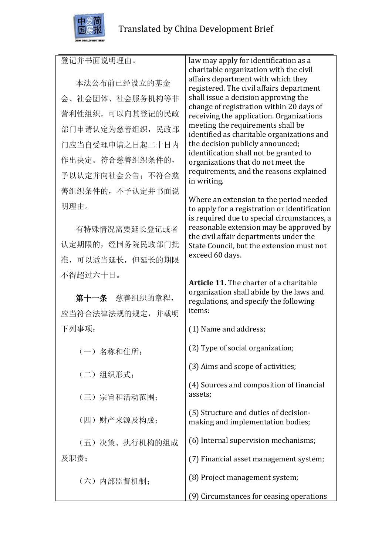

本法公布前已经设立的基金 会、社会团体、社会服务机构等非 营利性组织,可以向其登记的民政 部门申请认定为慈善组织,民政部 门应当自受理申请之日起二十日内 作出决定。符合慈善组织条件的, 予以认定并向社会公告;不符合慈 善组织条件的,不予认定并书面说 明理由。

有特殊情况需要延长登记或者 认定期限的,经国务院民政部门批 准,可以适当延长,但延长的期限 不得超过六十日。

第十一条 慈善组织的章程, 应当符合法律法规的规定,并载明 下列事项:

(一)名称和住所;

(二)组织形式;

(三)宗旨和活动范围;

(四)财产来源及构成;

(五)决策、执行机构的组成 及职责;

(六)内部监督机制;

law may apply for identification as a charitable organization with the civil affairs department with which they registered. The civil affairs department shall issue a decision approving the change of registration within 20 days of receiving the application. Organizations meeting the requirements shall be identified as charitable organizations and the decision publicly announced; identification shall not be granted to organizations that do not meet the requirements, and the reasons explained in writing.

Where an extension to the period needed to apply for a registration or identification is required due to special circumstances, a reasonable extension may be approved by the civil affair departments under the State Council, but the extension must not exceed 60 days.

**Article 11.** The charter of a charitable organization shall abide by the laws and regulations, and specify the following items:

(1) Name and address; (2) Type of social organization; (3) Aims and scope of activities; (4) Sources and composition of financial assets; (5) Structure and duties of decisionmaking and implementation bodies; (6) Internal supervision mechanisms;

(7) Financial asset management system;

(8) Project management system;

(9) Circumstances for ceasing operations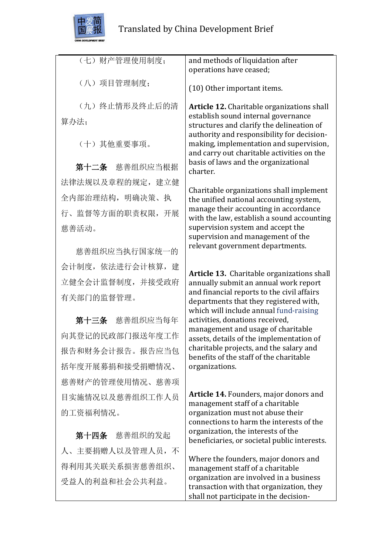

| (七)财产管理使用制度;           | and methods of liquidation after<br>operations have ceased;                                                                                                                 |
|------------------------|-----------------------------------------------------------------------------------------------------------------------------------------------------------------------------|
| (八)项目管理制度:             | (10) Other important items.                                                                                                                                                 |
| (九) 终止情形及终止后的清<br>算办法; | <b>Article 12.</b> Charitable organizations shall<br>establish sound internal governance<br>structures and clarify the delineation of                                       |
| (十) 其他重要事项。            | authority and responsibility for decision-<br>making, implementation and supervision,<br>and carry out charitable activities on the<br>basis of laws and the organizational |
| 第十二条 慈善组织应当根据          | charter.                                                                                                                                                                    |
| 法律法规以及章程的规定, 建立健       | Charitable organizations shall implement                                                                                                                                    |
| 全内部治理结构, 明确决策、执        | the unified national accounting system,                                                                                                                                     |
| 行、监督等方面的职责权限, 开展       | manage their accounting in accordance<br>with the law, establish a sound accounting                                                                                         |
| 慈善活动。                  | supervision system and accept the<br>supervision and management of the                                                                                                      |
| 慈善组织应当执行国家统一的          | relevant government departments.                                                                                                                                            |
| 会计制度, 依法进行会计核算, 建      | Article 13. Charitable organizations shall                                                                                                                                  |
| 立健全会计监督制度, 并接受政府       | annually submit an annual work report                                                                                                                                       |
| 有关部门的监督管理。             | and financial reports to the civil affairs<br>departments that they registered with,<br>which will include annual fund-raising                                              |
| 第十三条 慈善组织应当每年          | activities, donations received,                                                                                                                                             |
| 向其登记的民政部门报送年度工作        | management and usage of charitable<br>assets, details of the implementation of                                                                                              |
| 报告和财务会计报告。报告应当包        | charitable projects, and the salary and<br>benefits of the staff of the charitable                                                                                          |
| 括年度开展募捐和接受捐赠情况、        | organizations.                                                                                                                                                              |
| 慈善财产的管理使用情况、慈善项        |                                                                                                                                                                             |
| 目实施情况以及慈善组织工作人员        | Article 14. Founders, major donors and<br>management staff of a charitable                                                                                                  |
| 的工资福利情况。               | organization must not abuse their                                                                                                                                           |
| 第十四条 慈善组织的发起           | connections to harm the interests of the<br>organization, the interests of the<br>beneficiaries, or societal public interests.                                              |
| 人、主要捐赠人以及管理人员,不        |                                                                                                                                                                             |
| 得利用其关联关系损害慈善组织、        | Where the founders, major donors and<br>management staff of a charitable                                                                                                    |
| 受益人的利益和社会公共利益。         | organization are involved in a business<br>transaction with that organization, they                                                                                         |

shall not participate in the decision-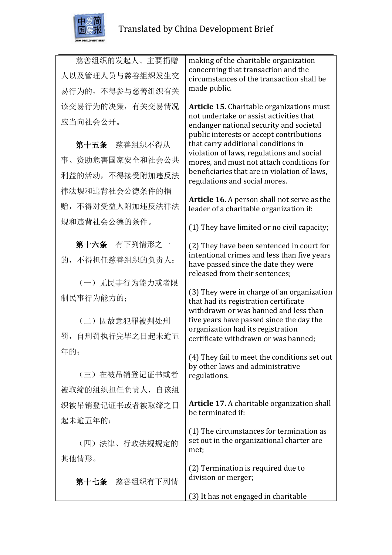

慈善组织的发起人、主要捐赠 人以及管理人员与慈善组织发生交 易行为的,不得参与慈善组织有关 该交易行为的决策,有关交易情况 应当向社会公开。

第十五条 慈善组织不得从 事、资助危害国家安全和社会公共 利益的活动,不得接受附加违反法 律法规和违背社会公德条件的捐 赠,不得对受益人附加违反法律法 规和违背社会公德的条件。

第十六条 有下列情形之一 的,不得担任慈善组织的负责人:

(一)无民事行为能力或者限 制民事行为能力的;

(二)因故意犯罪被判处刑 罚,自刑罚执行完毕之日起未逾五 年的;

(三)在被吊销登记证书或者 被取缔的组织担任负责人,自该组 织被吊销登记证书或者被取缔之日 起未逾五年的;

(四)法律、行政法规规定的 其他情形。

第十七条 慈善组织有下列情

making of the charitable organization concerning that transaction and the circumstances of the transaction shall be made public.

**Article 15.** Charitable organizations must not undertake or assist activities that endanger national security and societal public interests or accept contributions that carry additional conditions in violation of laws, regulations and social mores, and must not attach conditions for beneficiaries that are in violation of laws, regulations and social mores.

**Article 16.** A person shall not serve as the leader of a charitable organization if:

(1) They have limited or no civil capacity;

(2) They have been sentenced in court for intentional crimes and less than five years have passed since the date they were released from their sentences;

(3) They were in charge of an organization that had its registration certificate withdrawn or was banned and less than five years have passed since the day the organization had its registration certificate withdrawn or was banned;

(4) They fail to meet the conditions set out by other laws and administrative regulations.

**Article 17.** A charitable organization shall be terminated if:

(1) The circumstances for termination as set out in the organizational charter are met;

(2) Termination is required due to division or merger;

(3) It has not engaged in charitable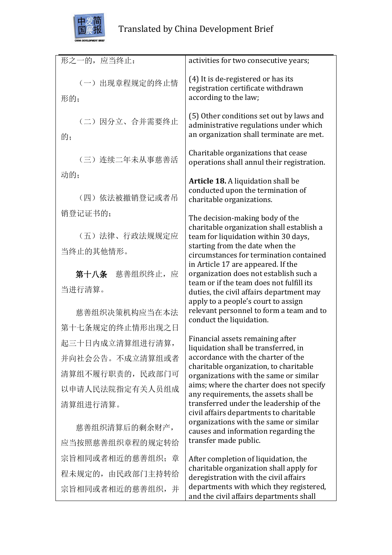

| 形之一的,应当终止:            | activities for two consecutive years;                                                                                          |
|-----------------------|--------------------------------------------------------------------------------------------------------------------------------|
| (一) 出现章程规定的终止情<br>形的; | (4) It is de-registered or has its<br>registration certificate withdrawn<br>according to the law;                              |
| (二)因分立、合并需要终止<br>的;   | (5) Other conditions set out by laws and<br>administrative regulations under which<br>an organization shall terminate are met. |
| (三) 连续二年未从事慈善活        | Charitable organizations that cease<br>operations shall annul their registration.                                              |
| 动的;                   | <b>Article 18.</b> A liquidation shall be                                                                                      |
| (四) 依法被撤销登记或者吊        | conducted upon the termination of<br>charitable organizations.                                                                 |
| 销登记证书的;               | The decision-making body of the                                                                                                |
| (五)法律、行政法规规定应         | charitable organization shall establish a<br>team for liquidation within 30 days,                                              |
| 当终止的其他情形。             | starting from the date when the<br>circumstances for termination contained                                                     |
| 第十八条 慈善组织终止, 应        | in Article 17 are appeared. If the<br>organization does not establish such a<br>team or if the team does not fulfill its       |
| 当进行清算。                | duties, the civil affairs department may                                                                                       |
| 慈善组织决策机构应当在本法         | apply to a people's court to assign<br>relevant personnel to form a team and to<br>conduct the liquidation.                    |
| 第十七条规定的终止情形出现之日       |                                                                                                                                |
| 起三十日内成立清算组进行清算,       | Financial assets remaining after<br>liquidation shall be transferred, in                                                       |
| 并向社会公告。不成立清算组或者       | accordance with the charter of the<br>charitable organization, to charitable                                                   |
| 清算组不履行职责的, 民政部门可      | organizations with the same or similar                                                                                         |
| 以申请人民法院指定有关人员组成       | aims; where the charter does not specify<br>any requirements, the assets shall be                                              |
| 清算组进行清算。              | transferred under the leadership of the<br>civil affairs departments to charitable                                             |
| 慈善组织清算后的剩余财产,         | organizations with the same or similar<br>causes and information regarding the                                                 |
| 应当按照慈善组织章程的规定转给       | transfer made public.                                                                                                          |
| 宗旨相同或者相近的慈善组织; 章      | After completion of liquidation, the                                                                                           |
| 程未规定的, 由民政部门主持转给      | charitable organization shall apply for<br>deregistration with the civil affairs                                               |
| 宗旨相同或者相近的慈善组织,并       | departments with which they registered,<br>and the civil affairs departments shall                                             |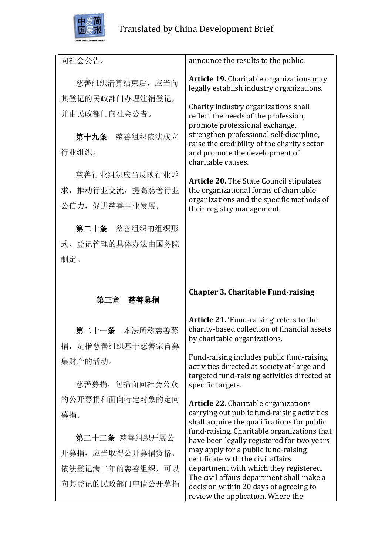

| 向社会公告。            | announce the results to the public.                                                                 |
|-------------------|-----------------------------------------------------------------------------------------------------|
| 慈善组织清算结束后, 应当向    | <b>Article 19.</b> Charitable organizations may<br>legally establish industry organizations.        |
| 其登记的民政部门办理注销登记,   | Charity industry organizations shall                                                                |
| 并由民政部门向社会公告。      | reflect the needs of the profession,<br>promote professional exchange,                              |
| 第十九条 慈善组织依法成立     | strengthen professional self-discipline,                                                            |
| 行业组织。             | raise the credibility of the charity sector<br>and promote the development of<br>charitable causes. |
| 慈善行业组织应当反映行业诉     | <b>Article 20.</b> The State Council stipulates                                                     |
| 求, 推动行业交流, 提高慈善行业 | the organizational forms of charitable                                                              |
| 公信力, 促进慈善事业发展。    | organizations and the specific methods of<br>their registry management.                             |
| 第二十条 慈善组织的组织形     |                                                                                                     |
| 式、登记管理的具体办法由国务院   |                                                                                                     |
| 制定。               |                                                                                                     |
|                   |                                                                                                     |
|                   |                                                                                                     |
| 第三章 慈善募捐          | <b>Chapter 3. Charitable Fund-raising</b>                                                           |
|                   | Article 21. 'Fund-raising' refers to the                                                            |
| 第二十一条 本法所称慈善募     | charity-based collection of financial assets                                                        |
| 捐, 是指慈善组织基于慈善宗旨募  | by charitable organizations.                                                                        |
| 集财产的活动。           | Fund-raising includes public fund-raising                                                           |
| 慈善募捐, 包括面向社会公众    | activities directed at society at-large and<br>targeted fund-raising activities directed at         |
| 的公开募捐和面向特定对象的定向   | specific targets.                                                                                   |
|                   | <b>Article 22.</b> Charitable organizations<br>carrying out public fund-raising activities          |
| 募捐。               | shall acquire the qualifications for public                                                         |
| 第二十二条 慈善组织开展公     | fund-raising. Charitable organizations that<br>have been legally registered for two years           |
| 开募捐, 应当取得公开募捐资格。  | may apply for a public fund-raising<br>certificate with the civil affairs                           |
| 依法登记满二年的慈善组织, 可以  | department with which they registered.<br>The civil affairs department shall make a                 |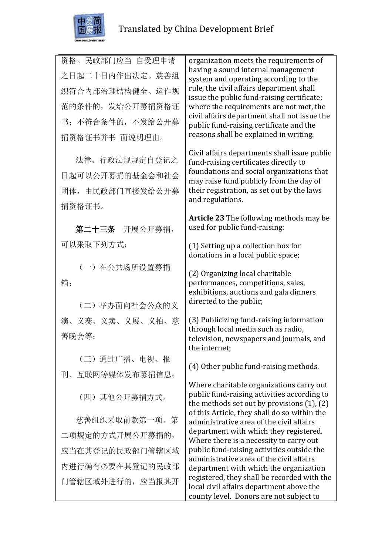

资格。民政部门应当 自受理申请 之日起二十日内作出决定。慈善组 织符合内部治理结构健全、运作规 范的条件的,发给公开募捐资格证 书;不符合条件的,不发给公开募 捐资格证书并书 面说明理由。

法律、行政法规规定自登记之 日起可以公开募捐的基金会和社会 团体,由民政部门直接发给公开募 捐资格证书。

第二十三条 开展公开募捐, 可以采取下列方式:

(一)在公共场所设置募捐 箱;

(二)举办面向社会公众的义 演、义赛、义卖、义展、义拍、慈 善晚会等;

(三)通过广播、电视、报 刊、互联网等媒体发布募捐信息;

(四)其他公开募捐方式。

慈善组织采取前款第一项、第 二项规定的方式开展公开募捐的, 应当在其登记的民政部门管辖区域 内进行确有必要在其登记的民政部 门管辖区域外进行的,应当报其开

organization meets the requirements of having a sound internal management system and operating according to the rule, the civil affairs department shall issue the public fund-raising certificate; where the requirements are not met, the civil affairs department shall not issue the public fund-raising certificate and the reasons shall be explained in writing.

Civil affairs departments shall issue public fund-raising certificates directly to foundations and social organizations that may raise fund publicly from the day of their registration, as set out by the laws and regulations.

**Article 23** The following methods may be used for public fund-raising:

(1) Setting up a collection box for donations in a local public space;

(2) Organizing local charitable performances, competitions, sales, exhibitions, auctions and gala dinners directed to the public;

(3) Publicizing fund-raising information through local media such as radio, television, newspapers and journals, and the internet;

(4) Other public fund-raising methods.

Where charitable organizations carry out public fund-raising activities according to the methods set out by provisions (1), (2) of this Article, they shall do so within the administrative area of the civil affairs department with which they registered. Where there is a necessity to carry out public fund-raising activities outside the administrative area of the civil affairs department with which the organization registered, they shall be recorded with the local civil affairs department above the county level. Donors are not subject to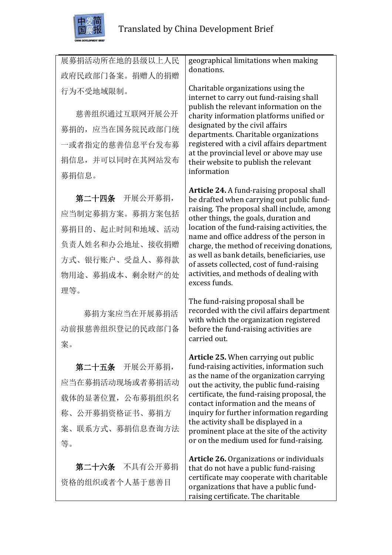

展募捐活动所在地的县级以上人民 政府民政部门备案。捐赠人的捐赠 行为不受地域限制。

慈善组织通过互联网开展公开 募捐的,应当在国务院民政部门统 一或者指定的慈善信息平台发布募 捐信息,并可以同时在其网站发布 募捐信息。

第二十四条 开展公开募捐, 应当制定募捐方案。募捐方案包括 募捐目的、起止时间和地域、活动 负责人姓名和办公地址、接收捐赠 方式、银行账户、受益人、募得款 物用途、募捐成本、剩余财产的处 理等。

募捐方案应当在开展募捐活 动前报慈善组织登记的民政部门备 案。

第二十五条 开展公开募捐, 应当在募捐活动现场或者募捐活动 载体的显著位置,公布募捐组织名 称、公开募捐资格证书、募捐方 案、联系方式、募捐信息查询方法 等。

第二十六条 不具有公开募捐 资格的组织或者个人基于慈善目

geographical limitations when making donations.

Charitable organizations using the internet to carry out fund-raising shall publish the relevant information on the charity information platforms unified or designated by the civil affairs departments. Charitable organizations registered with a civil affairs department at the provincial level or above may use their website to publish the relevant information

**Article 24.** A fund-raising proposal shall be drafted when carrying out public fundraising. The proposal shall include, among other things, the goals, duration and location of the fund-raising activities, the name and office address of the person in charge, the method of receiving donations, as well as bank details, beneficiaries, use of assets collected, cost of fund-raising activities, and methods of dealing with excess funds.

The fund-raising proposal shall be recorded with the civil affairs department with which the organization registered before the fund-raising activities are carried out.

**Article 25.** When carrying out public fund-raising activities, information such as the name of the organization carrying out the activity, the public fund-raising certificate, the fund-raising proposal, the contact information and the means of inquiry for further information regarding the activity shall be displayed in a prominent place at the site of the activity or on the medium used for fund-raising.

**Article 26.** Organizations or individuals that do not have a public fund-raising certificate may cooperate with charitable organizations that have a public fundraising certificate. The charitable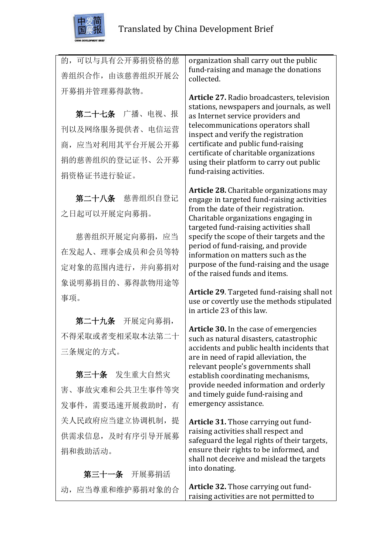

的,可以与具有公开募捐资格的慈 善组织合作,由该慈善组织开展公 开募捐并管理募得款物。

第二十七条 广播、电视、报 刊以及网络服务提供者、电信运营 商,应当对利用其平台开展公开募 捐的慈善组织的登记证书、公开募 捐资格证书进行验证。

第二十八条 慈善组织自登记 之日起可以开展定向募捐。

慈善组织开展定向募捐,应当 在发起人、理事会成员和会员等特 定对象的范围内进行,并向募捐对 象说明募捐目的、募得款物用途等 事项。

第二十九条 开展定向募捐, 不得采取或者变相采取本法第二十 三条规定的方式。

第三十条 发生重大自然灾 害、事故灾难和公共卫生事件等突 发事件,需要迅速开展救助时,有 关人民政府应当建立协调机制, 提 供需求信息,及时有序引导开展募 捐和救助活动。

第三十一条 开展募捐活 动,应当尊重和维护募捐对象的合

organization shall carry out the public fund-raising and manage the donations collected.

**Article 27.** Radio broadcasters, television stations, newspapers and journals, as well as Internet service providers and telecommunications operators shall inspect and verify the registration certificate and public fund-raising certificate of charitable organizations using their platform to carry out public fund-raising activities.

**Article 28.** Charitable organizations may engage in targeted fund-raising activities from the date of their registration. Charitable organizations engaging in targeted fund-raising activities shall specify the scope of their targets and the period of fund-raising, and provide information on matters such as the purpose of the fund-raising and the usage of the raised funds and items.

**Article 29**. Targeted fund-raising shall not use or covertly use the methods stipulated in article 23 of this law.

**Article 30.** In the case of emergencies such as natural disasters, catastrophic accidents and public health incidents that are in need of rapid alleviation, the relevant people's governments shall establish coordinating mechanisms, provide needed information and orderly and timely guide fund-raising and emergency assistance.

**Article 31.** Those carrying out fundraising activities shall respect and safeguard the legal rights of their targets, ensure their rights to be informed, and shall not deceive and mislead the targets into donating.

**Article 32.** Those carrying out fundraising activities are not permitted to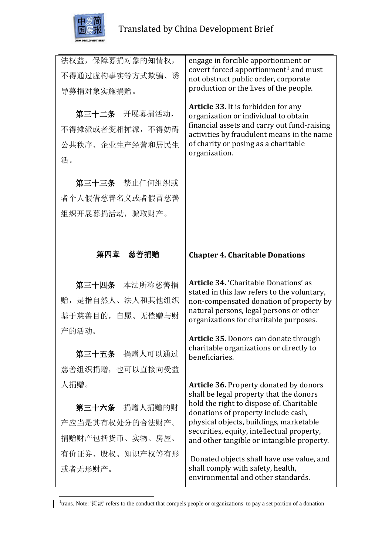

 $\mathbf{I}$ 

| 法权益, 保障募捐对象的知情权,<br>不得通过虚构事实等方式欺骗、诱<br>导募捐对象实施捐赠。<br>第三十二条 开展募捐活动,<br>不得摊派或者变相摊派, 不得妨碍<br>公共秩序、企业生产经营和居民生<br>活。<br>第三十三条 禁止任何组织或<br>者个人假借慈善名义或者假冒慈善<br>组织开展募捐活动,骗取财产。 | engage in forcible apportionment or<br>covert forced apportionment <sup>1</sup> and must<br>not obstruct public order, corporate<br>production or the lives of the people.<br><b>Article 33.</b> It is forbidden for any<br>organization or individual to obtain<br>financial assets and carry out fund-raising<br>activities by fraudulent means in the name<br>of charity or posing as a charitable<br>organization. |
|-----------------------------------------------------------------------------------------------------------------------------------------------------------------------|------------------------------------------------------------------------------------------------------------------------------------------------------------------------------------------------------------------------------------------------------------------------------------------------------------------------------------------------------------------------------------------------------------------------|
| 第四章 慈善捐赠                                                                                                                                                              | <b>Chapter 4. Charitable Donations</b>                                                                                                                                                                                                                                                                                                                                                                                 |
| 第三十四条 本法所称慈善捐<br>赠, 是指自然人、法人和其他组织<br>基于慈善目的, 自愿、无偿赠与财<br>产的活动。<br>第三十五条 捐赠人可以通过<br>慈善组织捐赠, 也可以直接向受益<br>人捐赠。                                                           | Article 34. 'Charitable Donations' as<br>stated in this law refers to the voluntary,<br>non-compensated donation of property by<br>natural persons, legal persons or other<br>organizations for charitable purposes.<br><b>Article 35.</b> Donors can donate through<br>charitable organizations or directly to<br>beneficiaries.<br><b>Article 36. Property donated by donors</b>                                     |
| 第三十六条 捐赠人捐赠的财<br>产应当是其有权处分的合法财产。<br>捐赠财产包括货币、实物、房屋、<br>有价证券、股权、知识产权等有形<br>或者无形财产。                                                                                     | shall be legal property that the donors<br>hold the right to dispose of. Charitable<br>donations of property include cash,<br>physical objects, buildings, marketable<br>securities, equity, intellectual property,<br>and other tangible or intangible property.<br>Donated objects shall have use value, and<br>shall comply with safety, health,<br>environmental and other standards.                              |

<sup>1</sup>trans. Note: '摊派' refers to the conduct that compels people or organizations to pay a set portion of a donation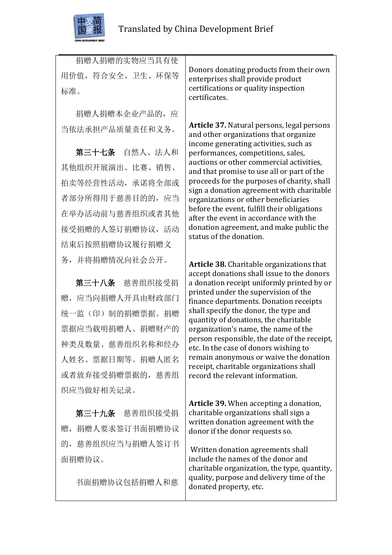

捐赠人捐赠的实物应当具有使 用价值,符合安全、卫生、环保等 标准。

捐赠人捐赠本企业产品的,应 当依法承担产品质量责任和义务。

第三十七条 自然人、法人和 其他组织开展演出、比赛、销售、 拍卖等经营性活动,承诺将全部或 者部分所得用于慈善目的的,应当 在举办活动前与慈善组织或者其他 接受捐赠的人签订捐赠协议,活动 结束后按照捐赠协议履行捐赠义 务,并将捐赠情况向社会公开。

第三十八条 慈善组织接受捐 赠,应当向捐赠人开具由财政部门 统一监(印)制的捐赠票据。捐赠 票据应当载明捐赠人、捐赠财产的 种类及数量、慈善组织名称和经办 人姓名、票据日期等。捐赠人匿名 或者放弃接受捐赠票据的,慈善组 织应当做好相关记录。

第三十九条 慈善组织接受捐 赠,捐赠人要求签订书面捐赠协议 的,慈善组织应当与捐赠人签订书 面捐赠协议。

书面捐赠协议包括捐赠人和慈

Donors donating products from their own enterprises shall provide product certifications or quality inspection certificates.

**Article 37.** Natural persons, legal persons and other organizations that organize income generating activities, such as performances, competitions, sales, auctions or other commercial activities, and that promise to use all or part of the proceeds for the purposes of charity, shall sign a donation agreement with charitable organizations or other beneficiaries before the event, fulfill their obligations after the event in accordance with the donation agreement, and make public the status of the donation.

**Article 38.** Charitable organizations that accept donations shall issue to the donors a donation receipt uniformly printed by or printed under the supervision of the finance departments. Donation receipts shall specify the donor, the type and quantity of donations, the charitable organization's name, the name of the person responsible, the date of the receipt, etc. In the case of donors wishing to remain anonymous or waive the donation receipt, charitable organizations shall record the relevant information.

**Article 39.** When accepting a donation, charitable organizations shall sign a written donation agreement with the donor if the donor requests so.

Written donation agreements shall include the names of the donor and charitable organization, the type, quantity, quality, purpose and delivery time of the donated property, etc.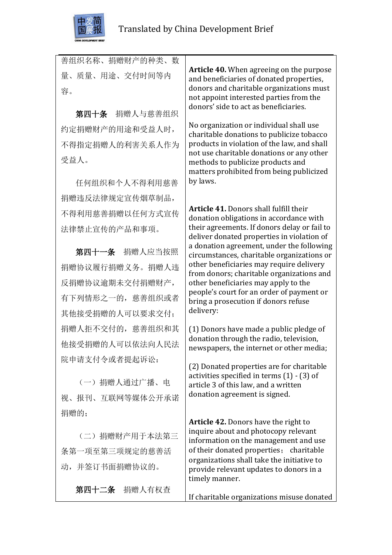

| 善组织名称、捐赠财产的种类、数      |                                                                                                                                                                                    |
|----------------------|------------------------------------------------------------------------------------------------------------------------------------------------------------------------------------|
| 量、质量、用途、交付时间等内<br>容。 | <b>Article 40.</b> When agreeing on the purpose<br>and beneficiaries of donated properties,<br>donors and charitable organizations must<br>not appoint interested parties from the |
| 捐赠人与慈善组织<br>第四十条     | donors' side to act as beneficiaries.                                                                                                                                              |
| 约定捐赠财产的用途和受益人时,      | No organization or individual shall use<br>charitable donations to publicize tobacco                                                                                               |
| 不得指定捐赠人的利害关系人作为      | products in violation of the law, and shall                                                                                                                                        |
| 受益人。                 | not use charitable donations or any other<br>methods to publicize products and<br>matters prohibited from being publicized                                                         |
| 任何组织和个人不得利用慈善        | by laws.                                                                                                                                                                           |
| 捐赠违反法律规定宣传烟草制品,      |                                                                                                                                                                                    |
| 不得利用慈善捐赠以任何方式宣传      | <b>Article 41.</b> Donors shall fulfill their<br>donation obligations in accordance with                                                                                           |
| 法律禁止宣传的产品和事项。        | their agreements. If donors delay or fail to<br>deliver donated properties in violation of                                                                                         |
| 第四十一条 捐赠人应当按照        | a donation agreement, under the following<br>circumstances, charitable organizations or                                                                                            |
| 捐赠协议履行捐赠义务。捐赠人违      | other beneficiaries may require delivery<br>from donors; charitable organizations and                                                                                              |
| 反捐赠协议逾期未交付捐赠财产,      | other beneficiaries may apply to the                                                                                                                                               |
| 有下列情形之一的, 慈善组织或者     | people's court for an order of payment or<br>bring a prosecution if donors refuse                                                                                                  |
| 其他接受捐赠的人可以要求交付;      | delivery:                                                                                                                                                                          |
| 捐赠人拒不交付的,慈善组织和其      | (1) Donors have made a public pledge of                                                                                                                                            |
| 他接受捐赠的人可以依法向人民法      | donation through the radio, television,<br>newspapers, the internet or other media;                                                                                                |
| 院申请支付令或者提起诉讼:        | (2) Donated properties are for charitable<br>activities specified in terms $(1) - (3)$ of                                                                                          |
| (一) 捐赠人通过广播、电        | article 3 of this law, and a written                                                                                                                                               |
| 视、报刊、互联网等媒体公开承诺      | donation agreement is signed.                                                                                                                                                      |
| 捐赠的;                 |                                                                                                                                                                                    |
| (二) 捐赠财产用于本法第三       | Article 42. Donors have the right to<br>inquire about and photocopy relevant<br>information on the management and use                                                              |
| 条第一项至第三项规定的慈善活       | of their donated properties; charitable                                                                                                                                            |
| 动,并签订书面捐赠协议的。        | organizations shall take the initiative to<br>provide relevant updates to donors in a<br>timely manner.                                                                            |
| 第四十二条 捐赠人有权查         | If charitable organizations misuse donated                                                                                                                                         |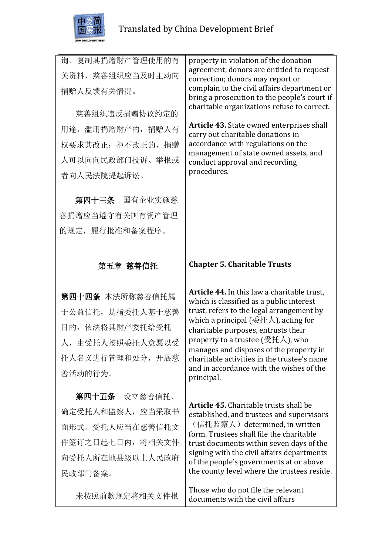

询、复制其捐赠财产管理使用的有 关资料, 慈善组织应当及时主动向 捐赠人反馈有关情况。

慈善组织违反捐赠协议约定的 用途,滥用捐赠财产的,捐赠人有 权要求其改正;拒不改正的,捐赠 人可以向向民政部门投诉、举报或 者向人民法院提起诉讼。

 第四十三条 国有企业实施慈 善捐赠应当遵守有关国有资产管理 的规定,履行批准和备案程序。

### 第五章 慈善信托

第四十四条 本法所称慈善信托属 于公益信托,是指委托人基于慈善 目的,依法将其财产委托给受托 人,由受托人按照委托人意愿以受 托人名义进行管理和处分,开展慈 善活动的行为。

第四十五条 设立慈善信托、 确定受托人和监察人,应当采取书 面形式。受托人应当在慈善信托文 件签订之日起七日内,将相关文件 向受托人所在地县级以上人民政府 民政部门备案。

未按照前款规定将相关文件报

property in violation of the donation agreement, donors are entitled to request correction; donors may report or complain to the civil affairs department or bring a prosecution to the people's court if charitable organizations refuse to correct.

**Article 43.** State owned enterprises shall carry out charitable donations in accordance with regulations on the management of state owned assets, and conduct approval and recording procedures.

#### **Chapter 5. Charitable Trusts**

**Article 44.** In this law a charitable trust, which is classified as a public interest trust, refers to the legal arrangement by which a principal (委托人), acting for charitable purposes, entrusts their property to a trustee (受托人), who manages and disposes of the property in charitable activities in the trustee's name and in accordance with the wishes of the principal.

**Article 45.** Charitable trusts shall be established, and trustees and supervisors (信托监察人) determined, in written form. Trustees shall file the charitable trust documents within seven days of the signing with the civil affairs departments of the people's governments at or above the county level where the trustees reside.

Those who do not file the relevant documents with the civil affairs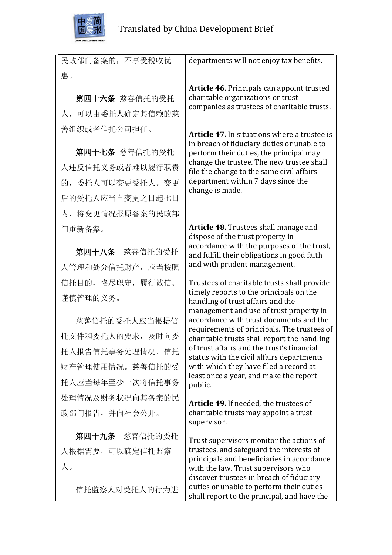

民政部门备案的,不享受税收优 惠。 departments will not enjoy tax benefits.

第四十六条 慈善信托的受托 人,可以由委托人确定其信赖的慈 善组织或者信托公司担任。

第四十七条 慈善信托的受托 人违反信托义务或者难以履行职责 的,委托人可以变更受托人。变更 后的受托人应当自变更之日起七日 内,将变更情况报原备案的民政部 门重新备案。

第四十八条 慈善信托的受托 人管理和处分信托财产,应当按照 信托目的,恪尽职守,履行诚信、 谨慎管理的义务。

慈善信托的受托人应当根据信 托文件和委托人的要求,及时向委 托人报告信托事务处理情况、信托 财产管理使用情况。慈善信托的受 托人应当每年至少一次将信托事务 处理情况及财务状况向其备案的民 政部门报告,并向社会公开。

第四十九条 慈善信托的委托 人根据需要,可以确定信托监察 人。

信托监察人对受托人的行为进

**Article 46.** Principals can appoint trusted charitable organizations or trust companies as trustees of charitable trusts.

**Article 47.** In situations where a trustee is in breach of fiduciary duties or unable to perform their duties, the principal may change the trustee. The new trustee shall file the change to the same civil affairs department within 7 days since the change is made.

**Article 48.** Trustees shall manage and dispose of the trust property in accordance with the purposes of the trust, and fulfill their obligations in good faith and with prudent management.

Trustees of charitable trusts shall provide timely reports to the principals on the handling of trust affairs and the management and use of trust property in accordance with trust documents and the requirements of principals. The trustees of charitable trusts shall report the handling of trust affairs and the trust's financial status with the civil affairs departments with which they have filed a record at least once a year, and make the report public.

**Article 49.** If needed, the trustees of charitable trusts may appoint a trust supervisor.

Trust supervisors monitor the actions of trustees, and safeguard the interests of principals and beneficiaries in accordance with the law. Trust supervisors who discover trustees in breach of fiduciary duties or unable to perform their duties shall report to the principal, and have the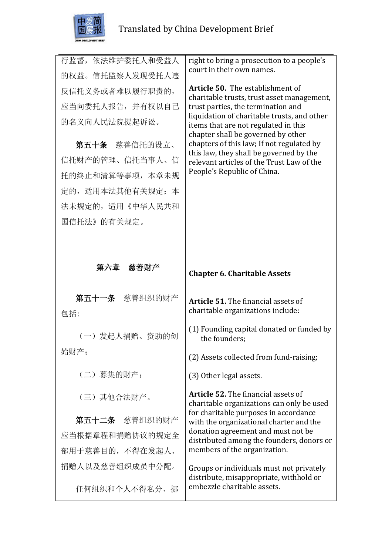

| 行监督,依法维护委托人和受益人  | right to bring a prosecution to a people's<br>court in their own names.                                                   |
|------------------|---------------------------------------------------------------------------------------------------------------------------|
| 的权益。信托监察人发现受托人违  |                                                                                                                           |
| 反信托义务或者难以履行职责的,  | <b>Article 50.</b> The establishment of<br>charitable trusts, trust asset management,                                     |
| 应当向委托人报告, 并有权以自己 | trust parties, the termination and                                                                                        |
| 的名义向人民法院提起诉讼。    | liquidation of charitable trusts, and other<br>items that are not regulated in this<br>chapter shall be governed by other |
| 第五十条 慈善信托的设立、    | chapters of this law; If not regulated by<br>this law, they shall be governed by the                                      |
| 信托财产的管理、信托当事人、信  | relevant articles of the Trust Law of the                                                                                 |
| 托的终止和清算等事项, 本章未规 | People's Republic of China.                                                                                               |
| 定的,适用本法其他有关规定;本  |                                                                                                                           |
| 法未规定的, 适用《中华人民共和 |                                                                                                                           |
| 国信托法》的有关规定。      |                                                                                                                           |
|                  |                                                                                                                           |
|                  |                                                                                                                           |
| 第六章 慈善财产         | <b>Chapter 6. Charitable Assets</b>                                                                                       |
|                  |                                                                                                                           |
| 第五十一条 慈善组织的财产    |                                                                                                                           |
| 包括:              | Article 51. The financial assets of<br>charitable organizations include:                                                  |
| (一)发起人捐赠、资助的创    | (1) Founding capital donated or funded by<br>the founders;                                                                |
| 始财产;             | (2) Assets collected from fund-raising;                                                                                   |
| (二) 募集的财产;       | (3) Other legal assets.                                                                                                   |
| (三) 其他合法财产。      | Article 52. The financial assets of<br>charitable organizations can only be used                                          |
| 第五十二条 慈善组织的财产    | for charitable purposes in accordance<br>with the organizational charter and the                                          |
| 应当根据章程和捐赠协议的规定全  | donation agreement and must not be                                                                                        |
| 部用于慈善目的,不得在发起人、  | distributed among the founders, donors or<br>members of the organization.                                                 |
| 捐赠人以及慈善组织成员中分配。  | Groups or individuals must not privately                                                                                  |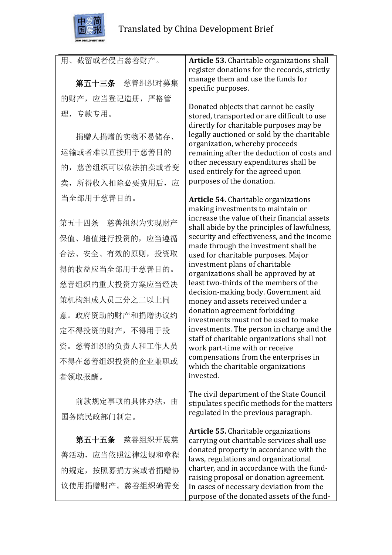

| 用、截留或者侵占慈善财产。        | Article 53. Charitable organizations shall                                                |
|----------------------|-------------------------------------------------------------------------------------------|
|                      | register donations for the records, strictly<br>manage them and use the funds for         |
| 第五十三条 慈善组织对募集        | specific purposes.                                                                        |
| 的财产, 应当登记造册, 严格管     | Donated objects that cannot be easily                                                     |
| 理,专款专用。              | stored, transported or are difficult to use<br>directly for charitable purposes may be    |
| 捐赠人捐赠的实物不易储存、        | legally auctioned or sold by the charitable<br>organization, whereby proceeds             |
| 运输或者难以直接用于慈善目的       | remaining after the deduction of costs and                                                |
| 的, 慈善组织可以依法拍卖或者变     | other necessary expenditures shall be<br>used entirely for the agreed upon                |
| 卖, 所得收入扣除必要费用后, 应    | purposes of the donation.                                                                 |
| 当全部用于慈善目的。           | <b>Article 54.</b> Charitable organizations                                               |
|                      | making investments to maintain or<br>increase the value of their financial assets         |
| 第五十四条 慈善组织为实现财产      | shall abide by the principles of lawfulness,                                              |
| 保值、增值进行投资的, 应当遵循     | security and effectiveness, and the income                                                |
| 合法、安全、有效的原则, 投资取     | made through the investment shall be<br>used for charitable purposes. Major               |
| 得的收益应当全部用于慈善目的。      | investment plans of charitable<br>organizations shall be approved by at                   |
| 慈善组织的重大投资方案应当经决      | least two-thirds of the members of the                                                    |
| 策机构组成人员三分之二以上同       | decision-making body. Government aid<br>money and assets received under a                 |
| 意。政府资助的财产和捐赠协议约      | donation agreement forbidding<br>investments must not be used to make                     |
| 定不得投资的财产, 不得用于投      | investments. The person in charge and the                                                 |
| 资。慈善组织的负责人和工作人员      | staff of charitable organizations shall not<br>work part-time with or receive             |
| 不得在慈善组织投资的企业兼职或      | compensations from the enterprises in<br>which the charitable organizations               |
| 者领取报酬。               | invested.                                                                                 |
| 前款规定事项的具体办法,由        | The civil department of the State Council<br>stipulates specific methods for the matters  |
| 国务院民政部门制定。           | regulated in the previous paragraph.                                                      |
| <b>第五十五条</b> 慈善组织开展慈 | <b>Article 55.</b> Charitable organizations<br>carrying out charitable services shall use |

善活动,应当依照法律法规和章程 的规定,按照募捐方案或者捐赠协 议使用捐赠财产。慈善组织确需变

carrying out charitable services shall use donated property in accordance with the laws, regulations and organizational charter, and in accordance with the fundraising proposal or donation agreement. In cases of necessary deviation from the purpose of the donated assets of the fund-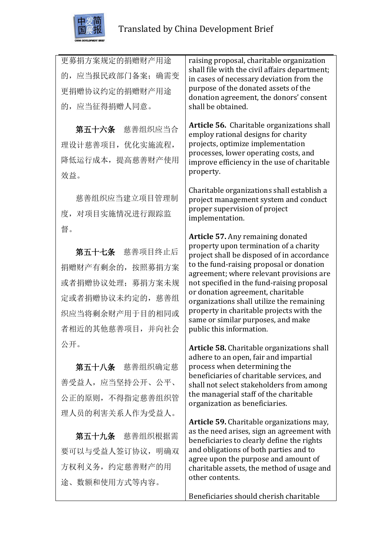

更募捐方案规定的捐赠财产用途 的,应当报民政部门备案;确需变 更捐赠协议约定的捐赠财产用途 的,应当征得捐赠人同意。

第五十六条 慈善组织应当合 理设计慈善项目,优化实施流程, 降低运行成本,提高慈善财产使用 效益。

慈善组织应当建立项目管理制 度,对项目实施情况进行跟踪监 督。

第五十七条 慈善项目终止后 捐赠财产有剩余的,按照募捐方案 或者捐赠协议处理;募捐方案未规 定或者捐赠协议未约定的,慈善组 织应当将剩余财产用于目的相同或 者相近的其他慈善项目,并向社会 公开。

第五十八条 慈善组织确定慈 善受益人,应当坚持公开、公平、 公正的原则,不得指定慈善组织管 理人员的利害关系人作为受益人。

第五十九条 慈善组织根据需 要可以与受益人签订协议,明确双 方权利义务,约定慈善财产的用 途、数额和使用方式等内容。

raising proposal, charitable organization shall file with the civil affairs department; in cases of necessary deviation from the purpose of the donated assets of the donation agreement, the donors' consent shall be obtained.

**Article 56.** Charitable organizations shall employ rational designs for charity projects, optimize implementation processes, lower operating costs, and improve efficiency in the use of charitable property.

Charitable organizations shall establish a project management system and conduct proper supervision of project implementation.

**Article 57.** Any remaining donated property upon termination of a charity project shall be disposed of in accordance to the fund-raising proposal or donation agreement; where relevant provisions are not specified in the fund-raising proposal or donation agreement, charitable organizations shall utilize the remaining property in charitable projects with the same or similar purposes, and make public this information.

**Article 58.** Charitable organizations shall adhere to an open, fair and impartial process when determining the beneficiaries of charitable services, and shall not select stakeholders from among the managerial staff of the charitable organization as beneficiaries.

**Article 59.** Charitable organizations may, as the need arises, sign an agreement with beneficiaries to clearly define the rights and obligations of both parties and to agree upon the purpose and amount of charitable assets, the method of usage and other contents.

Beneficiaries should cherish charitable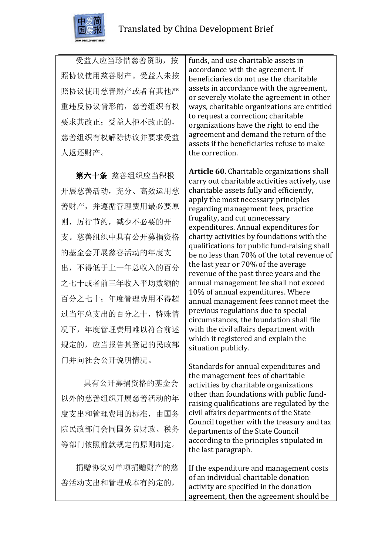

受益人应当珍惜慈善资助,按 照协议使用慈善财产。受益人未按 照协议使用慈善财产或者有其他严 重违反协议情形的,慈善组织有权 要求其改正;受益人拒不改正的, 慈善组织有权解除协议并要求受益 人返还财产。

第六十条 慈善组织应当积极 开展慈善活动,充分、高效运用慈 善财产,并遵循管理费用最必要原 则,厉行节约,减少不必要的开 支。慈善组织中具有公开募捐资格 的基金会开展慈善活动的年度支 出,不得低于上一年总收入的百分 之七十或者前三年收入平均数额的 百分之七十;年度管理费用不得超 过当年总支出的百分之十,特殊情 况下,年度管理费用难以符合前述 规定的,应当报告其登记的民政部 门并向社会公开说明情况。

具有公开募捐资格的基金会 以外的慈善组织开展慈善活动的年 度支出和管理费用的标准,由国务 院民政部门会同国务院财政、税务 等部门依照前款规定的原则制定。

捐赠协议对单项捐赠财产的慈 善活动支出和管理成本有约定的,

funds, and use charitable assets in accordance with the agreement. If beneficiaries do not use the charitable assets in accordance with the agreement, or severely violate the agreement in other ways, charitable organizations are entitled to request a correction; charitable organizations have the right to end the agreement and demand the return of the assets if the beneficiaries refuse to make the correction.

**Article 60.** Charitable organizations shall carry out charitable activities actively, use charitable assets fully and efficiently, apply the most necessary principles regarding management fees, practice frugality, and cut unnecessary expenditures. Annual expenditures for charity activities by foundations with the qualifications for public fund-raising shall be no less than 70% of the total revenue of the last year or 70% of the average revenue of the past three years and the annual management fee shall not exceed 10% of annual expenditures. Where annual management fees cannot meet the previous regulations due to special circumstances, the foundation shall file with the civil affairs department with which it registered and explain the situation publicly.

Standards for annual expenditures and the management fees of charitable activities by charitable organizations other than foundations with public fundraising qualifications are regulated by the civil affairs departments of the State Council together with the treasury and tax departments of the State Council according to the principles stipulated in the last paragraph.

If the expenditure and management costs of an individual charitable donation activity are specified in the donation agreement, then the agreement should be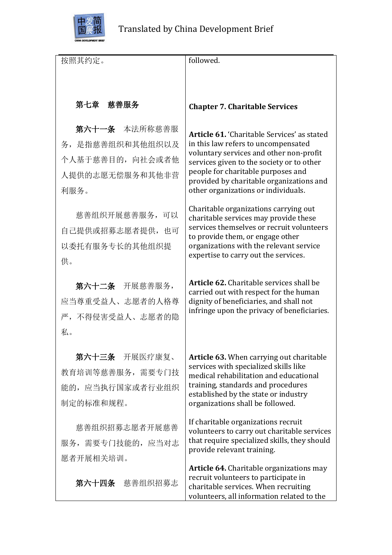

| 按照其约定。           | followed.                                                                                                                                                                     |
|------------------|-------------------------------------------------------------------------------------------------------------------------------------------------------------------------------|
|                  |                                                                                                                                                                               |
|                  |                                                                                                                                                                               |
| 第七章 慈善服务         | <b>Chapter 7. Charitable Services</b>                                                                                                                                         |
| 第六十一条 本法所称慈善服    | <b>Article 61. 'Charitable Services' as stated</b>                                                                                                                            |
| 务, 是指慈善组织和其他组织以及 | in this law refers to uncompensated                                                                                                                                           |
| 个人基于慈善目的,向社会或者他  | voluntary services and other non-profit<br>services given to the society or to other                                                                                          |
| 人提供的志愿无偿服务和其他非营  | people for charitable purposes and<br>provided by charitable organizations and                                                                                                |
| 利服务。             | other organizations or individuals.                                                                                                                                           |
| 慈善组织开展慈善服务, 可以   | Charitable organizations carrying out<br>charitable services may provide these                                                                                                |
| 自己提供或招募志愿者提供, 也可 | services themselves or recruit volunteers<br>to provide them, or engage other                                                                                                 |
| 以委托有服务专长的其他组织提   | organizations with the relevant service                                                                                                                                       |
| 供。               | expertise to carry out the services.                                                                                                                                          |
| 第六十二条 开展慈善服务,    | <b>Article 62.</b> Charitable services shall be                                                                                                                               |
| 应当尊重受益人、志愿者的人格尊  | carried out with respect for the human<br>dignity of beneficiaries, and shall not                                                                                             |
| 严,不得侵害受益人、志愿者的隐  | infringe upon the privacy of beneficiaries.                                                                                                                                   |
| 私。               |                                                                                                                                                                               |
|                  |                                                                                                                                                                               |
| 第六十三条 开展医疗康复、    | <b>Article 63. When carrying out charitable</b><br>services with specialized skills like                                                                                      |
| 教育培训等慈善服务, 需要专门技 | medical rehabilitation and educational<br>training, standards and procedures                                                                                                  |
| 能的, 应当执行国家或者行业组织 | established by the state or industry                                                                                                                                          |
| 制定的标准和规程。        | organizations shall be followed.                                                                                                                                              |
| 慈善组织招募志愿者开展慈善    | If charitable organizations recruit<br>volunteers to carry out charitable services                                                                                            |
| 服务,需要专门技能的,应当对志  | that require specialized skills, they should<br>provide relevant training.                                                                                                    |
| 愿者开展相关培训。        |                                                                                                                                                                               |
| 第六十四条 慈善组织招募志    | <b>Article 64.</b> Charitable organizations may<br>recruit volunteers to participate in<br>charitable services. When recruiting<br>volunteers, all information related to the |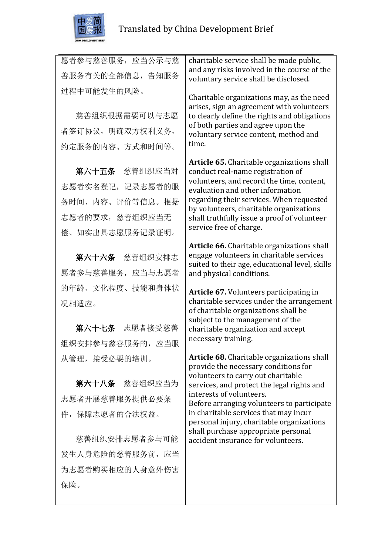

保险。

| 愿者参与慈善服务, 应当公示与慈<br>善服务有关的全部信息, 告知服务 | charitable service shall be made public,<br>and any risks involved in the course of the                               |
|--------------------------------------|-----------------------------------------------------------------------------------------------------------------------|
|                                      | voluntary service shall be disclosed.                                                                                 |
| 过程中可能发生的风险。                          | Charitable organizations may, as the need<br>arises, sign an agreement with volunteers                                |
| 慈善组织根据需要可以与志愿                        | to clearly define the rights and obligations                                                                          |
| 者签订协议, 明确双方权利义务,                     | of both parties and agree upon the<br>voluntary service content, method and                                           |
| 约定服务的内容、方式和时间等。                      | time.                                                                                                                 |
|                                      | <b>Article 65.</b> Charitable organizations shall                                                                     |
| 第六十五条 慈善组织应当对                        | conduct real-name registration of<br>volunteers, and record the time, content,                                        |
| 志愿者实名登记,记录志愿者的服                      | evaluation and other information                                                                                      |
| 务时间、内容、评价等信息。根据                      | regarding their services. When requested                                                                              |
| 志愿者的要求, 慈善组织应当无                      | by volunteers, charitable organizations<br>shall truthfully issue a proof of volunteer                                |
| 偿、如实出具志愿服务记录证明。                      | service free of charge.                                                                                               |
|                                      | Article 66. Charitable organizations shall                                                                            |
| 第六十六条 慈善组织安排志                        | engage volunteers in charitable services<br>suited to their age, educational level, skills                            |
| 愿者参与慈善服务, 应当与志愿者                     | and physical conditions.                                                                                              |
| 的年龄、文化程度、技能和身体状                      | Article 67. Volunteers participating in                                                                               |
| 况相适应。                                | charitable services under the arrangement<br>of charitable organizations shall be<br>subject to the management of the |
| 第六十七条 志愿者接受慈善                        | charitable organization and accept                                                                                    |
| 组织安排参与慈善服务的, 应当服                     | necessary training.                                                                                                   |
| 从管理, 接受必要的培训。                        | <b>Article 68.</b> Charitable organizations shall<br>provide the necessary conditions for                             |
| 第六十八条 慈善组织应当为                        | volunteers to carry out charitable<br>services, and protect the legal rights and                                      |
| 志愿者开展慈善服务提供必要条                       | interests of volunteers.<br>Before arranging volunteers to participate                                                |
| 件,保障志愿者的合法权益。                        | in charitable services that may incur<br>personal injury, charitable organizations                                    |
| 慈善组织安排志愿者参与可能                        | shall purchase appropriate personal<br>accident insurance for volunteers.                                             |
| 发生人身危险的慈善服务前,应当                      |                                                                                                                       |
| 为志愿者购买相应的人身意外伤害                      |                                                                                                                       |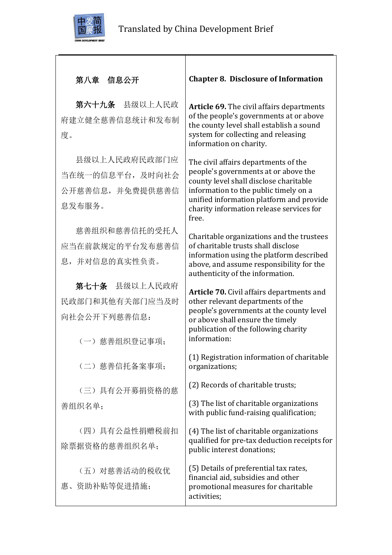

# 第八章 信息公开

第六十九条 县级以上人民政 府建立健全慈善信息统计和发布制 度。

县级以上人民政府民政部门应 当在统一的信息平台,及时向社会 公开慈善信息,并免费提供慈善信 息发布服务。

慈善组织和慈善信托的受托人 应当在前款规定的平台发布慈善信 息,并对信息的真实性负责。

第七十条 县级以上人民政府 民政部门和其他有关部门应当及时 向社会公开下列慈善信息:

(一)慈善组织登记事项;

(二)慈善信托备案事项;

(三)具有公开募捐资格的慈 善组织名单;

(四)具有公益性捐赠税前扣 除票据资格的慈善组织名单;

(五)对慈善活动的税收优 惠、资助补贴等促进措施;

## **Chapter 8. Disclosure of Information**

**Article 69.** The civil affairs departments of the people's governments at or above the county level shall establish a sound system for collecting and releasing information on charity.

The civil affairs departments of the people's governments at or above the county level shall disclose charitable information to the public timely on a unified information platform and provide charity information release services for free.

Charitable organizations and the trustees of charitable trusts shall disclose information using the platform described above, and assume responsibility for the authenticity of the information.

**Article 70.** Civil affairs departments and other relevant departments of the people's governments at the county level or above shall ensure the timely publication of the following charity information:

(1) Registration information of charitable organizations;

(2) Records of charitable trusts;

(3) The list of charitable organizations with public fund-raising qualification;

(4) The list of charitable organizations qualified for pre-tax deduction receipts for public interest donations;

(5) Details of preferential tax rates, financial aid, subsidies and other promotional measures for charitable activities;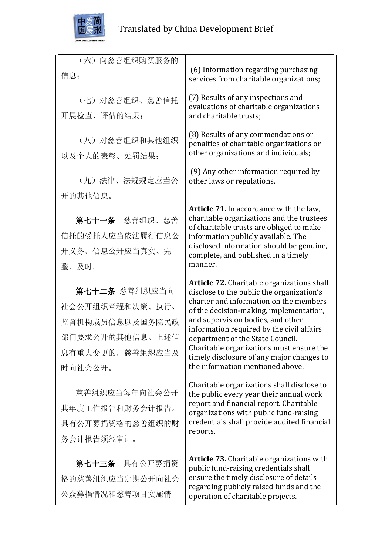

| (六) 向慈善组织购买服务的<br>信息;                                                                                 | (6) Information regarding purchasing<br>services from charitable organizations;                                                                                                                                                                                                                                                                                                                                                        |
|-------------------------------------------------------------------------------------------------------|----------------------------------------------------------------------------------------------------------------------------------------------------------------------------------------------------------------------------------------------------------------------------------------------------------------------------------------------------------------------------------------------------------------------------------------|
| (七) 对慈善组织、慈善信托<br>开展检查、评估的结果;                                                                         | (7) Results of any inspections and<br>evaluations of charitable organizations<br>and charitable trusts;                                                                                                                                                                                                                                                                                                                                |
| (八) 对慈善组织和其他组织<br>以及个人的表彰、处罚结果;                                                                       | (8) Results of any commendations or<br>penalties of charitable organizations or<br>other organizations and individuals;                                                                                                                                                                                                                                                                                                                |
| (九) 法律、法规规定应当公                                                                                        | (9) Any other information required by<br>other laws or regulations.                                                                                                                                                                                                                                                                                                                                                                    |
| 开的其他信息。<br>第七十一条 慈善组织、慈善<br>信托的受托人应当依法履行信息公<br>开义务。信息公开应当真实、完<br>整、及时。                                | Article 71. In accordance with the law,<br>charitable organizations and the trustees<br>of charitable trusts are obliged to make<br>information publicly available. The<br>disclosed information should be genuine,<br>complete, and published in a timely<br>manner.                                                                                                                                                                  |
| 第七十二条 慈善组织应当向<br>社会公开组织章程和决策、执行、<br>监督机构成员信息以及国务院民政<br>部门要求公开的其他信息。上述信<br>息有重大变更的, 慈善组织应当及<br>时向社会公开。 | <b>Article 72.</b> Charitable organizations shall<br>disclose to the public the organization's<br>charter and information on the members<br>of the decision-making, implementation,<br>and supervision bodies, and other<br>information required by the civil affairs<br>department of the State Council.<br>Charitable organizations must ensure the<br>timely disclosure of any major changes to<br>the information mentioned above. |
| 慈善组织应当每年向社会公开<br>其年度工作报告和财务会计报告。<br>具有公开募捐资格的慈善组织的财<br>务会计报告须经审计。                                     | Charitable organizations shall disclose to<br>the public every year their annual work<br>report and financial report. Charitable<br>organizations with public fund-raising<br>credentials shall provide audited financial<br>reports.                                                                                                                                                                                                  |
| 第七十三条 具有公开募捐资<br>格的慈善组织应当定期公开向社会                                                                      | Article 73. Charitable organizations with<br>public fund-raising credentials shall<br>ensure the timely disclosure of details                                                                                                                                                                                                                                                                                                          |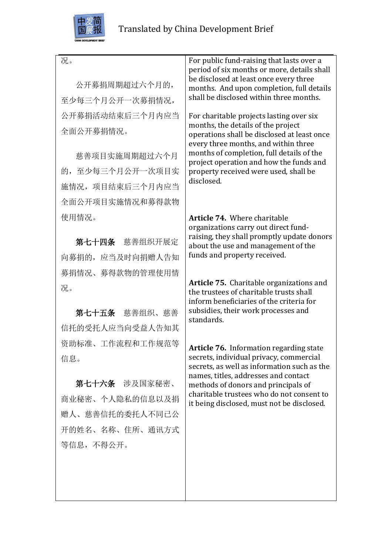

| 况。<br>公开募捐周期超过六个月的,<br>至少每三个月公开一次募捐情况, | For public fund-raising that lasts over a<br>period of six months or more, details shall<br>be disclosed at least once every three<br>months. And upon completion, full details<br>shall be disclosed within three months. |
|----------------------------------------|----------------------------------------------------------------------------------------------------------------------------------------------------------------------------------------------------------------------------|
|                                        |                                                                                                                                                                                                                            |
| 公开募捐活动结束后三个月内应当                        | For charitable projects lasting over six<br>months, the details of the project                                                                                                                                             |
| 全面公开募捐情况。                              | operations shall be disclosed at least once<br>every three months, and within three                                                                                                                                        |
| 慈善项目实施周期超过六个月                          | months of completion, full details of the                                                                                                                                                                                  |
| 的, 至少每三个月公开一次项目实                       | project operation and how the funds and<br>property received were used, shall be                                                                                                                                           |
| 施情况,项目结束后三个月内应当                        | disclosed.                                                                                                                                                                                                                 |
| 全面公开项目实施情况和募得款物                        |                                                                                                                                                                                                                            |
| 使用情况。                                  | Article 74. Where charitable                                                                                                                                                                                               |
|                                        | organizations carry out direct fund-<br>raising, they shall promptly update donors                                                                                                                                         |
| 第七十四条 慈善组织开展定                          | about the use and management of the                                                                                                                                                                                        |
| 向募捐的, 应当及时向捐赠人告知                       | funds and property received.                                                                                                                                                                                               |
| 募捐情况、募得款物的管理使用情                        | Article 75. Charitable organizations and                                                                                                                                                                                   |
| 况。                                     | the trustees of charitable trusts shall<br>inform beneficiaries of the criteria for                                                                                                                                        |
| 第七十五条 慈善组织、慈善                          | subsidies, their work processes and                                                                                                                                                                                        |
| 信托的受托人应当向受益人告知其                        | standards.                                                                                                                                                                                                                 |
| 资助标准、工作流程和工作规范等                        | <b>Article 76.</b> Information regarding state                                                                                                                                                                             |
| 信息。                                    | secrets, individual privacy, commercial                                                                                                                                                                                    |
|                                        | secrets, as well as information such as the<br>names, titles, addresses and contact                                                                                                                                        |
| 第七十六条 涉及国家秘密、                          | methods of donors and principals of<br>charitable trustees who do not consent to                                                                                                                                           |
| 商业秘密、个人隐私的信息以及捐                        | it being disclosed, must not be disclosed.                                                                                                                                                                                 |
| 赠人、慈善信托的委托人不同已公                        |                                                                                                                                                                                                                            |
| 开的姓名、名称、住所、通讯方式                        |                                                                                                                                                                                                                            |
| 等信息,不得公开。                              |                                                                                                                                                                                                                            |
|                                        |                                                                                                                                                                                                                            |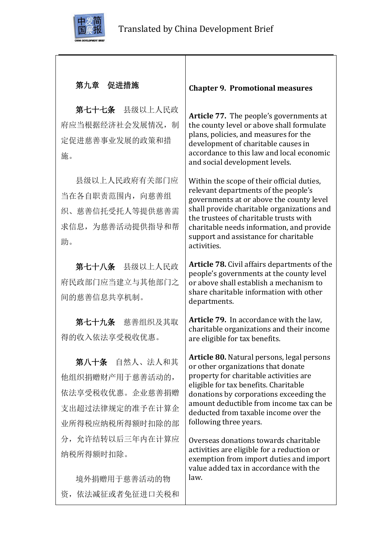

## 第九章 促进措施

第七十七条 县级以上人民政 府应当根据经济社会发展情况, 制 定促进慈善事业发展的政策和措 施。

县级以上人民政府有关部门应 当在各自职责范围内,向慈善组 织、慈善信托受托人等提供慈善需 求信息,为慈善活动提供指导和帮 助。

第七十八条 县级以上人民政 府民政部门应当建立与其他部门之 间的慈善信息共享机制。

第七十九条 慈善组织及其取 得的收入依法享受税收优惠。

第八十条 自然人、法人和其 他组织捐赠财产用于慈善活动的, 依法享受税收优惠。企业慈善捐赠 支出超过法律规定的准予在计算企 业所得税应纳税所得额时扣除的部 分,允许结转以后三年内在计算应 纳税所得额时扣除。

境外捐赠用于慈善活动的物 资,依法减征或者免征进口关税和

#### **Chapter 9. Promotional measures**

**Article 77.** The people's governments at the county level or above shall formulate plans, policies, and measures for the development of charitable causes in accordance to this law and local economic and social development levels.

Within the scope of their official duties, relevant departments of the people's governments at or above the county level shall provide charitable organizations and the trustees of charitable trusts with charitable needs information, and provide support and assistance for charitable activities.

**Article 78.** Civil affairs departments of the people's governments at the county level or above shall establish a mechanism to share charitable information with other departments.

**Article 79.** In accordance with the law, charitable organizations and their income are eligible for tax benefits.

**Article 80.** Natural persons, legal persons or other organizations that donate property for charitable activities are eligible for tax benefits. Charitable donations by corporations exceeding the amount deductible from income tax can be deducted from taxable income over the following three years.

Overseas donations towards charitable activities are eligible for a reduction or exemption from import duties and import value added tax in accordance with the law.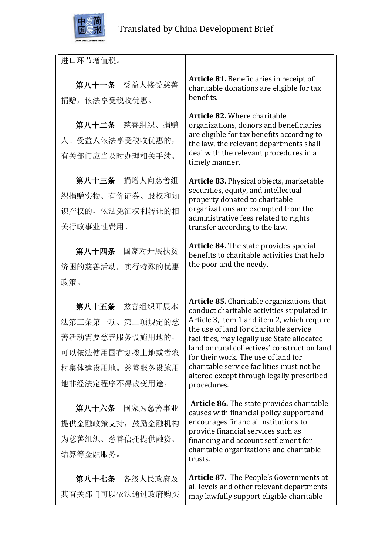

进口环节增值税。

第八十一条 受益人接受慈善 捐赠,依法享受税收优惠。

第八十二条 慈善组织、捐赠 人、受益人依法享受税收优惠的, 有关部门应当及时办理相关手续。

第八十三条 捐赠人向慈善组 织捐赠实物、有价证券、股权和知 识产权的,依法免征权利转让的相 关行政事业性费用。

第八十四条 国家对开展扶贫 济困的慈善活动,实行特殊的优惠 政策。

第八十五条 慈善组织开展本 法第三条第一项、第二项规定的慈 善活动需要慈善服务设施用地的, 可以依法使用国有划拨土地或者农 村集体建设用地。慈善服务设施用 地非经法定程序不得改变用途。

第八十六条 国家为慈善事业 提供金融政策支持,鼓励金融机构 为慈善组织、慈善信托提供融资、 结算等金融服务。

第八十七条 各级人民政府及 其有关部门可以依法通过政府购买 **Article 81.** Beneficiaries in receipt of charitable donations are eligible for tax benefits.

**Article 82.** Where charitable organizations, donors and beneficiaries are eligible for tax benefits according to the law, the relevant departments shall deal with the relevant procedures in a timely manner.

**Article 83.** Physical objects, marketable securities, equity, and intellectual property donated to charitable organizations are exempted from the administrative fees related to rights transfer according to the law.

**Article 84.** The state provides special benefits to charitable activities that help the poor and the needy.

**Article 85.** Charitable organizations that conduct charitable activities stipulated in Article 3, item 1 and item 2, which require the use of land for charitable service facilities, may legally use State allocated land or rural collectives' construction land for their work. The use of land for charitable service facilities must not be altered except through legally prescribed procedures.

**Article 86.** The state provides charitable causes with financial policy support and encourages financial institutions to provide financial services such as financing and account settlement for charitable organizations and charitable trusts.

**Article 87.** The People's Governments at all levels and other relevant departments may lawfully support eligible charitable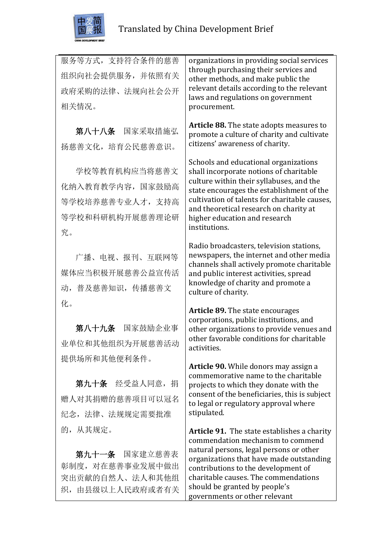

服务等方式,支持符合条件的慈善 组织向社会提供服务,并依照有关 政府采购的法律、法规向社会公开 相关情况。 第八十八条 国家采取措施弘 扬慈善文化,培育公民慈善意识。 学校等教育机构应当将慈善文 化纳入教育教学内容,国家鼓励高 等学校培养慈善专业人才,支持高 等学校和科研机构开展慈善理论研 究。 广播、电视、报刊、互联网等 媒体应当积极开展慈善公益宣传活 动,普及慈善知识,传播慈善文 化。 第八十九条 国家鼓励企业事 业单位和其他组织为开展慈善活动 提供场所和其他便利条件。 第九十条 经受益人同意,捐 赠人对其捐赠的慈善项目可以冠名 纪念,法律、法规规定需要批准 的,从其规定。 第九十一条 国家建立慈善表 organizations in providing social services through purchasing their services and other methods, and make public the relevant details according to the relevant laws and regulations on government procurement. **Article 88.** The state adopts measures to promote a culture of charity and cultivate citizens' awareness of charity. Schools and educational organizations shall incorporate notions of charitable culture within their syllabuses, and the state encourages the establishment of the cultivation of talents for charitable causes, and theoretical research on charity at higher education and research institutions. Radio broadcasters, television stations, newspapers, the internet and other media channels shall actively promote charitable and public interest activities, spread knowledge of charity and promote a culture of charity. **Article 89.** The state encourages corporations, public institutions, and other organizations to provide venues and other favorable conditions for charitable activities. **Article 90.** While donors may assign a commemorative name to the charitable projects to which they donate with the consent of the beneficiaries, this is subject to legal or regulatory approval where stipulated. **Article 91.** The state establishes a charity commendation mechanism to commend natural persons, legal persons or other organizations that have made outstanding

彰制度,对在慈善事业发展中做出 突出贡献的自然人、法人和其他组 织,由县级以上人民政府或者有关 contributions to the development of charitable causes. The commendations should be granted by people's governments or other relevant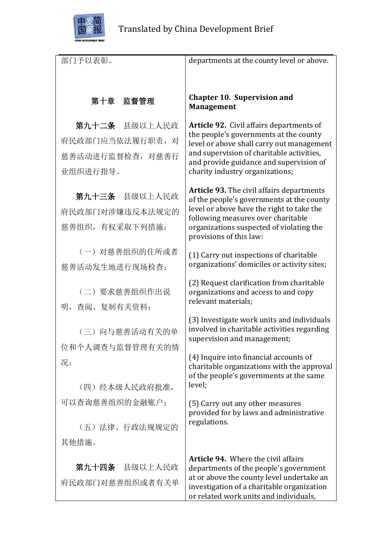

| 部门予以表彰。          | departments at the county level or above.                                                     |
|------------------|-----------------------------------------------------------------------------------------------|
|                  |                                                                                               |
|                  |                                                                                               |
| 第十章 监督管理         | <b>Chapter 10. Supervision and</b><br><b>Management</b>                                       |
|                  |                                                                                               |
| 第九十二条 县级以上人民政    | Article 92. Civil affairs departments of                                                      |
| 府民政部门应当依法履行职责, 对 | the people's governments at the county<br>level or above shall carry out management           |
| 慈善活动进行监督检查, 对慈善行 | and supervision of charitable activities,<br>and provide guidance and supervision of          |
| 业组织进行指导。         | charity industry organizations;                                                               |
|                  |                                                                                               |
| 第九十三条 县级以上人民政    | <b>Article 93.</b> The civil affairs departments<br>of the people's governments at the county |
| 府民政部门对涉嫌违反本法规定的  | level or above have the right to take the<br>following measures over charitable               |
| 慈善组织,有权采取下列措施:   | organizations suspected of violating the                                                      |
|                  | provisions of this law:                                                                       |
| (一) 对慈善组织的住所或者   | (1) Carry out inspections of charitable                                                       |
| 慈善活动发生地进行现场检查;   | organizations' domiciles or activity sites;                                                   |
|                  | (2) Request clarification from charitable                                                     |
| (二) 要求慈善组织作出说    | organizations and access to and copy                                                          |
| 明, 查阅、复制有关资料;    | relevant materials;                                                                           |
|                  | (3) Investigate work units and individuals                                                    |
| (三)向与慈善活动有关的单    | involved in charitable activities regarding                                                   |
| 位和个人调查与监督管理有关的情  | supervision and management;                                                                   |
| 况;               | (4) Inquire into financial accounts of                                                        |
|                  | charitable organizations with the approval<br>of the people's governments at the same         |
| (四) 经本级人民政府批准,   | level:                                                                                        |
| 可以查询慈善组织的金融账户;   | (5) Carry out any other measures                                                              |
|                  | provided for by laws and administrative                                                       |
| (五)法律、行政法规规定的    | regulations.                                                                                  |
| 其他措施。            |                                                                                               |
|                  | <b>Article 94.</b> Where the civil affairs                                                    |
| 第九十四条 县级以上人民政    | departments of the people's government                                                        |
| 府民政部门对慈善组织或者有关单  | at or above the county level undertake an<br>investigation of a charitable organization       |
|                  | or related work units and individuals,                                                        |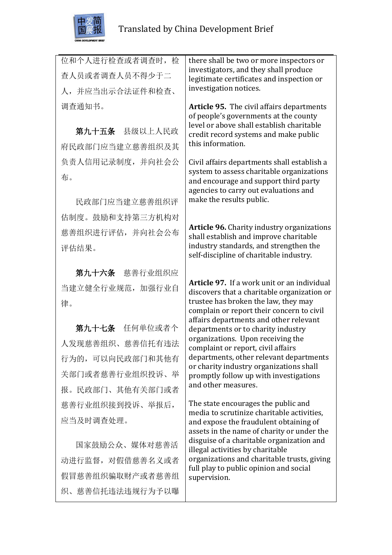

| 位和个人进行检查或者调查时, 检 | there shall be two or more inspectors or                                                                                           |
|------------------|------------------------------------------------------------------------------------------------------------------------------------|
| 查人员或者调查人员不得少于二   | investigators, and they shall produce<br>legitimate certificates and inspection or                                                 |
| 人,并应当出示合法证件和检查、  | investigation notices.                                                                                                             |
| 调查通知书。           | <b>Article 95.</b> The civil affairs departments<br>of people's governments at the county                                          |
| 第九十五条 县级以上人民政    | level or above shall establish charitable<br>credit record systems and make public                                                 |
| 府民政部门应当建立慈善组织及其  | this information.                                                                                                                  |
| 负责人信用记录制度, 并向社会公 | Civil affairs departments shall establish a                                                                                        |
| 布。               | system to assess charitable organizations<br>and encourage and support third party<br>agencies to carry out evaluations and        |
| 民政部门应当建立慈善组织评    | make the results public.                                                                                                           |
| 估制度。鼓励和支持第三方机构对  |                                                                                                                                    |
| 慈善组织进行评估, 并向社会公布 | <b>Article 96.</b> Charity industry organizations<br>shall establish and improve charitable                                        |
| 评估结果。            | industry standards, and strengthen the<br>self-discipline of charitable industry.                                                  |
|                  |                                                                                                                                    |
| 第九十六条 慈善行业组织应    | <b>Article 97.</b> If a work unit or an individual                                                                                 |
| 当建立健全行业规范, 加强行业自 | discovers that a charitable organization or                                                                                        |
| 律。               | trustee has broken the law, they may<br>complain or report their concern to civil                                                  |
| 第九十七条 任何单位或者个    | affairs departments and other relevant<br>departments or to charity industry                                                       |
| 人发现慈善组织、慈善信托有违法  | organizations. Upon receiving the<br>complaint or report, civil affairs                                                            |
| 行为的,可以向民政部门和其他有  | departments, other relevant departments                                                                                            |
| 关部门或者慈善行业组织投诉、举  | or charity industry organizations shall<br>promptly follow up with investigations                                                  |
| 报。民政部门、其他有关部门或者  | and other measures.                                                                                                                |
| 慈善行业组织接到投诉、举报后,  | The state encourages the public and                                                                                                |
| 应当及时调查处理。        | media to scrutinize charitable activities,<br>and expose the fraudulent obtaining of<br>assets in the name of charity or under the |
| 国家鼓励公众、媒体对慈善活    | disguise of a charitable organization and<br>illegal activities by charitable                                                      |
| 动进行监督, 对假借慈善名义或者 | organizations and charitable trusts, giving                                                                                        |
| 假冒慈善组织骗取财产或者慈善组  | full play to public opinion and social<br>supervision.                                                                             |
| 织、慈善信托违法违规行为予以曝  |                                                                                                                                    |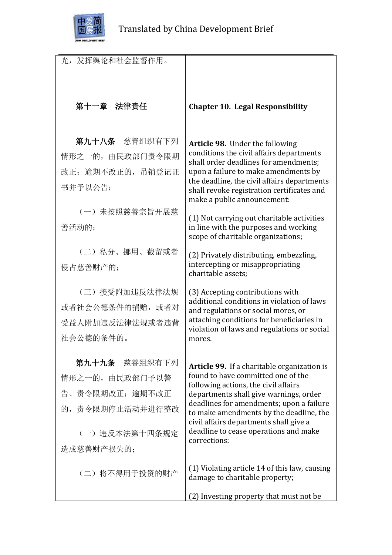

| 光,发挥舆论和社会监督作用。    |                                                                                          |
|-------------------|------------------------------------------------------------------------------------------|
|                   |                                                                                          |
|                   |                                                                                          |
| 第十一章 法律责任         | <b>Chapter 10. Legal Responsibility</b>                                                  |
|                   |                                                                                          |
|                   |                                                                                          |
| 第九十八条 慈善组织有下列     | Article 98. Under the following<br>conditions the civil affairs departments              |
| 情形之一的, 由民政部门责令限期  | shall order deadlines for amendments;                                                    |
| 改正; 逾期不改正的, 吊销登记证 | upon a failure to make amendments by<br>the deadline, the civil affairs departments      |
| 书并予以公告:           | shall revoke registration certificates and                                               |
| (一) 未按照慈善宗旨开展慈    | make a public announcement:                                                              |
| 善活动的:             | (1) Not carrying out charitable activities<br>in line with the purposes and working      |
|                   | scope of charitable organizations;                                                       |
| (二) 私分、挪用、截留或者    | (2) Privately distributing, embezzling,                                                  |
| 侵占慈善财产的;          | intercepting or misappropriating                                                         |
|                   | charitable assets;                                                                       |
| (三) 接受附加违反法律法规    | (3) Accepting contributions with<br>additional conditions in violation of laws           |
| 或者社会公德条件的捐赠, 或者对  | and regulations or social mores, or                                                      |
| 受益人附加违反法律法规或者违背   | attaching conditions for beneficiaries in<br>violation of laws and regulations or social |
| 社会公德的条件的。         | mores.                                                                                   |
|                   |                                                                                          |
| 第九十九条 慈善组织有下列     | Article 99. If a charitable organization is<br>found to have committed one of the        |
| 情形之一的, 由民政部门予以警   | following actions, the civil affairs                                                     |
| 告、责令限期改正; 逾期不改正   | departments shall give warnings, order<br>deadlines for amendments; upon a failure       |
| 的, 责令限期停止活动并进行整改  | to make amendments by the deadline, the                                                  |
| (一) 违反本法第十四条规定    | civil affairs departments shall give a<br>deadline to cease operations and make          |
| 造成慈善财产损失的;        | corrections:                                                                             |
|                   |                                                                                          |
| (二) 将不得用于投资的财产    | (1) Violating article 14 of this law, causing<br>damage to charitable property;          |
|                   |                                                                                          |
|                   | (2) Investing property that must not be                                                  |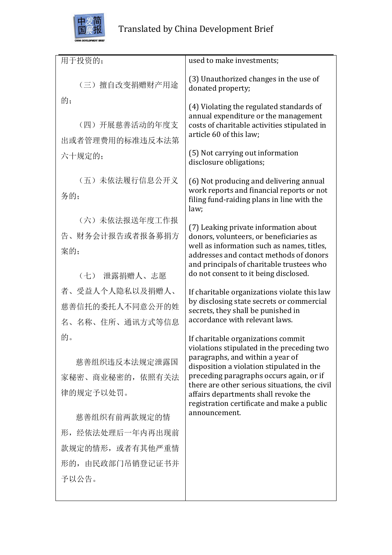

| 用于投资的;           | used to make investments;                                                                       |
|------------------|-------------------------------------------------------------------------------------------------|
| (三)擅自改变捐赠财产用途    | (3) Unauthorized changes in the use of<br>donated property;                                     |
| 的;               | (4) Violating the regulated standards of                                                        |
| (四)开展慈善活动的年度支    | annual expenditure or the management<br>costs of charitable activities stipulated in            |
| 出或者管理费用的标准违反本法第  | article 60 of this law;                                                                         |
| 六十规定的;           | (5) Not carrying out information<br>disclosure obligations;                                     |
| (五) 未依法履行信息公开义   | (6) Not producing and delivering annual                                                         |
| 务的;              | work reports and financial reports or not<br>filing fund-raiding plans in line with the<br>law; |
| (六) 未依法报送年度工作报   | (7) Leaking private information about                                                           |
| 告、财务会计报告或者报备募捐方  | donors, volunteers, or beneficiaries as<br>well as information such as names, titles,           |
| 案的;              | addresses and contact methods of donors                                                         |
| (七) 泄露捐赠人、志愿     | and principals of charitable trustees who<br>do not consent to it being disclosed.              |
| 者、受益人个人隐私以及捐赠人、  | If charitable organizations violate this law                                                    |
| 慈善信托的委托人不同意公开的姓  | by disclosing state secrets or commercial<br>secrets, they shall be punished in                 |
| 名、名称、住所、通讯方式等信息  | accordance with relevant laws.                                                                  |
| 的。               | If charitable organizations commit<br>violations stipulated in the preceding two                |
| 慈善组织违反本法规定泄露国    | paragraphs, and within a year of                                                                |
| 家秘密、商业秘密的, 依照有关法 | disposition a violation stipulated in the<br>preceding paragraphs occurs again, or if           |
| 律的规定予以处罚。        | there are other serious situations, the civil<br>affairs departments shall revoke the           |
|                  | registration certificate and make a public<br>announcement.                                     |
| 慈善组织有前两款规定的情     |                                                                                                 |
| 形, 经依法处理后一年内再出现前 |                                                                                                 |
| 款规定的情形, 或者有其他严重情 |                                                                                                 |
| 形的, 由民政部门吊销登记证书并 |                                                                                                 |
| 予以公告。            |                                                                                                 |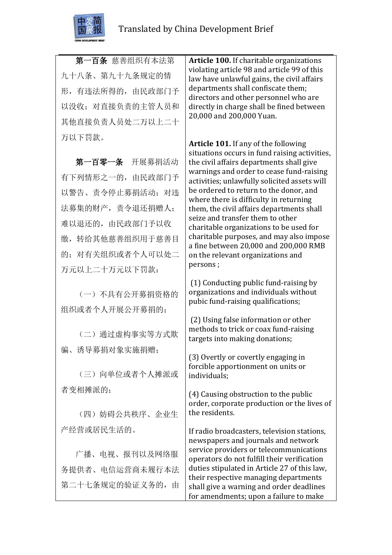

第一百条 慈善组织有本法第 九十八条、第九十九条规定的情 形,有违法所得的,由民政部门予 以没收;对直接负责的主管人员和 其他直接负责人员处二万以上二十 万以下罚款。

第一百零一条 开展募捐活动 有下列情形之一的,由民政部门予 以警告、责令停止募捐活动;对违 法募集的财产,责令退还捐赠人; 难以退还的,由民政部门予以收 缴,转给其他慈善组织用于慈善目 的;对有关组织或者个人可以处二 万元以上二十万元以下罚款:

(一)不具有公开募捐资格的 组织或者个人开展公开募捐的;

(二)通过虚构事实等方式欺 骗、诱导募捐对象实施捐赠;

(三)向单位或者个人摊派或 者变相摊派的;

(四)妨碍公共秩序、企业生 产经营或居民生活的。

广播、电视、报刊以及网络服 务提供者、电信运营商未履行本法 第二十七条规定的验证义务的,由

**Article 100.** If charitable organizations violating article 98 and article 99 of this law have unlawful gains, the civil affairs departments shall confiscate them; directors and other personnel who are directly in charge shall be fined between 20,000 and 200,000 Yuan.

**Article 101.** If any of the following situations occurs in fund raising activities, the civil affairs departments shall give warnings and order to cease fund-raising activities; unlawfully solicited assets will be ordered to return to the donor, and where there is difficulty in returning them, the civil affairs departments shall seize and transfer them to other charitable organizations to be used for charitable purposes, and may also impose a fine between 20,000 and 200,000 RMB on the relevant organizations and persons ;

(1) Conducting public fund-raising by organizations and individuals without pubic fund-raising qualifications;

(2) Using false information or other methods to trick or coax fund-raising targets into making donations;

(3) Overtly or covertly engaging in forcible apportionment on units or individuals;

(4) Causing obstruction to the public order, corporate production or the lives of the residents.

If radio broadcasters, television stations, newspapers and journals and network service providers or telecommunications operators do not fulfill their verification duties stipulated in Article 27 of this law, their respective managing departments shall give a warning and order deadlines for amendments; upon a failure to make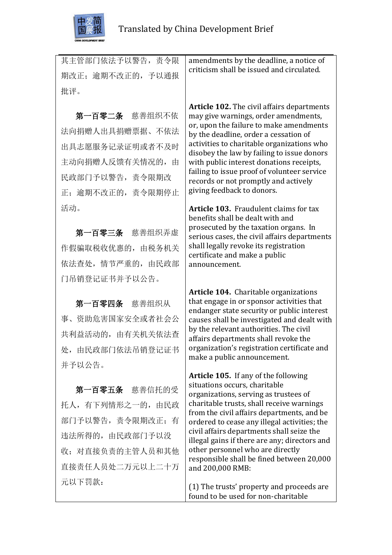

| 其主管部门依法予以警告, 责令限  | amendments by the deadline, a notice of<br>criticism shall be issued and circulated.      |
|-------------------|-------------------------------------------------------------------------------------------|
| 期改正; 逾期不改正的, 予以通报 |                                                                                           |
| 批评。               |                                                                                           |
|                   | <b>Article 102.</b> The civil affairs departments                                         |
| 第一百零二条 慈善组织不依     | may give warnings, order amendments,<br>or, upon the failure to make amendments           |
| 法向捐赠人出具捐赠票据、不依法   | by the deadline, order a cessation of                                                     |
| 出具志愿服务记录证明或者不及时   | activities to charitable organizations who<br>disobey the law by failing to issue donors  |
| 主动向捐赠人反馈有关情况的,由   | with public interest donations receipts,                                                  |
| 民政部门予以警告, 责令限期改   | failing to issue proof of volunteer service<br>records or not promptly and actively       |
| 正; 逾期不改正的, 责令限期停止 | giving feedback to donors.                                                                |
| 活动。               | <b>Article 103.</b> Fraudulent claims for tax                                             |
|                   | benefits shall be dealt with and<br>prosecuted by the taxation organs. In                 |
| 第一百零三条 慈善组织弄虚     | serious cases, the civil affairs departments                                              |
| 作假骗取税收优惠的, 由税务机关  | shall legally revoke its registration<br>certificate and make a public                    |
| 依法查处, 情节严重的, 由民政部 | announcement.                                                                             |
| 门吊销登记证书并予以公告。     |                                                                                           |
|                   | <b>Article 104.</b> Charitable organizations<br>that engage in or sponsor activities that |
| 第一百零四条 慈善组织从      | endanger state security or public interest                                                |
| 事、资助危害国家安全或者社会公   | causes shall be investigated and dealt with<br>by the relevant authorities. The civil     |
| 共利益活动的, 由有关机关依法查  | affairs departments shall revoke the                                                      |
| 处, 由民政部门依法吊销登记证书  | organization's registration certificate and<br>make a public announcement.                |
| 并予以公告。            |                                                                                           |
|                   | Article 105. If any of the following<br>situations occurs, charitable                     |
| 第一百零五条 慈善信托的受     | organizations, serving as trustees of<br>charitable trusts, shall receive warnings        |
| 托人, 有下列情形之一的, 由民政 | from the civil affairs departments, and be                                                |
| 部门予以警告, 责令限期改正; 有 | ordered to cease any illegal activities; the<br>civil affairs departments shall seize the |
| 违法所得的, 由民政部门予以没   | illegal gains if there are any; directors and                                             |
| 收; 对直接负责的主管人员和其他  | other personnel who are directly<br>responsible shall be fined between 20,000             |
| 直接责任人员处二万元以上二十万   | and 200,000 RMB:                                                                          |
| 元以下罚款:            | (1) The tructe' property and proceeds are                                                 |

(1) The trusts' property and proceeds are found to be used for non-charitable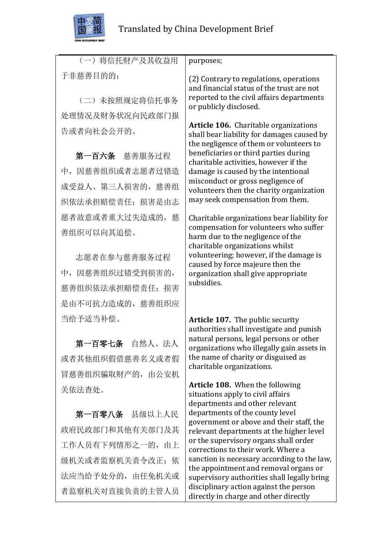

告或者向社会公开的。

(一)将信托财产及其收益用 于非慈善目的的; (二)未按照规定将信托事务 处理情况及财务状况向民政部门报 purposes; (2) Contrary to regulations, operations and financial status of the trust are not reported to the civil affairs departments or publicly disclosed.

第一百六条 慈善服务过程 中,因慈善组织或者志愿者过错造 成受益人、第三人损害的,慈善组 织依法承担赔偿责任;损害是由志 愿者故意或者重大过失造成的,慈 善组织可以向其追偿。

志愿者在参与慈善服务过程 中,因慈善组织过错受到损害的, 慈善组织依法承担赔偿责任;损害 是由不可抗力造成的,慈善组织应 当给予适当补偿。

第一百零七条 自然人、法人 或者其他组织假借慈善名义或者假 冒慈善组织骗取财产的,由公安机 关依法查处。

第一百零八条 县级以上人民 政府民政部门和其他有关部门及其 工作人员有下列情形之一的,由上 级机关或者监察机关责令改正;依 法应当给予处分的,由任免机关或 者监察机关对直接负责的主管人员

**Article 106.** Charitable organizations shall bear liability for damages caused by the negligence of them or volunteers to beneficiaries or third parties during charitable activities, however if the damage is caused by the intentional misconduct or gross negligence of volunteers then the charity organization may seek compensation from them.

Charitable organizations bear liability for compensation for volunteers who suffer harm due to the negligence of the charitable organizations whilst volunteering; however, if the damage is caused by force majeure then the organization shall give appropriate subsidies.

**Article 107.** The public security authorities shall investigate and punish natural persons, legal persons or other organizations who illegally gain assets in the name of charity or disguised as charitable organizations.

**Article 108.** When the following situations apply to civil affairs departments and other relevant departments of the county level government or above and their staff, the relevant departments at the higher level or the supervisory organs shall order corrections to their work. Where a sanction is necessary according to the law, the appointment and removal organs or supervisory authorities shall legally bring disciplinary action against the person directly in charge and other directly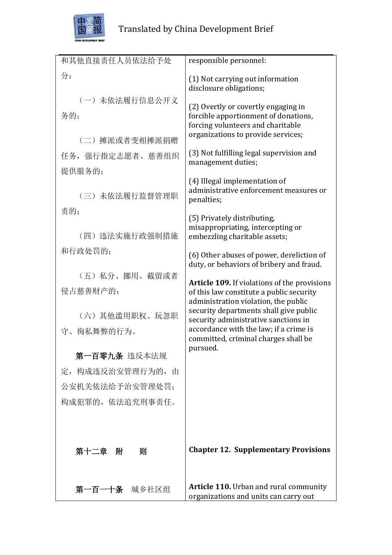

| 和其他直接责任人员依法给予处        | responsible personnel:                                                                                                                                 |
|-----------------------|--------------------------------------------------------------------------------------------------------------------------------------------------------|
| 分:                    | (1) Not carrying out information<br>disclosure obligations;                                                                                            |
| (一) 未依法履行信息公开义<br>务的; | (2) Overtly or covertly engaging in<br>forcible apportionment of donations,<br>forcing volunteers and charitable<br>organizations to provide services; |
| (二) 摊派或者变相摊派捐赠        | (3) Not fulfilling legal supervision and                                                                                                               |
| 任务, 强行指定志愿者、慈善组织      | management duties;                                                                                                                                     |
| 提供服务的;                | (4) Illegal implementation of                                                                                                                          |
| (三) 未依法履行监督管理职        | administrative enforcement measures or<br>penalties;                                                                                                   |
| 责的;                   | (5) Privately distributing,                                                                                                                            |
| (四) 违法实施行政强制措施        | misappropriating, intercepting or<br>embezzling charitable assets;                                                                                     |
| 和行政处罚的;               | (6) Other abuses of power, dereliction of<br>duty, or behaviors of bribery and fraud.                                                                  |
| (五) 私分、挪用、截留或者        |                                                                                                                                                        |
| 侵占慈善财产的;              | <b>Article 109.</b> If violations of the provisions<br>of this law constitute a public security                                                        |
|                       | administration violation, the public<br>security departments shall give public                                                                         |
| (六)其他滥用职权、玩忽职         | security administrative sanctions in                                                                                                                   |
| 守、徇私舞弊的行为。            | accordance with the law; if a crime is<br>committed, criminal charges shall be                                                                         |
| 第一百零九条 违反本法规          | pursued.                                                                                                                                               |
|                       |                                                                                                                                                        |
| 定,构成违反治安管理行为的,由       |                                                                                                                                                        |
| 公安机关依法给予治安管理处罚:       |                                                                                                                                                        |
| 构成犯罪的, 依法追究刑事责任。      |                                                                                                                                                        |
|                       |                                                                                                                                                        |
|                       |                                                                                                                                                        |
| 第十二章 附<br>则           | <b>Chapter 12. Supplementary Provisions</b>                                                                                                            |
|                       |                                                                                                                                                        |
| 第一百一十条 城乡社区组          | <b>Article 110.</b> Urban and rural community<br>organizations and units can carry out                                                                 |